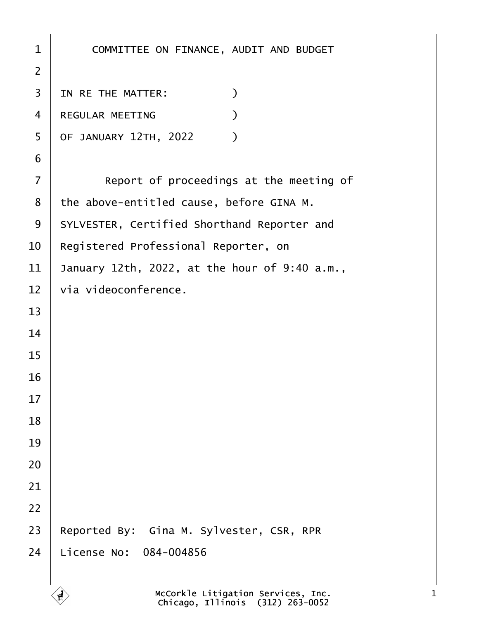| 1              | COMMITTEE ON FINANCE, AUDIT AND BUDGET        |
|----------------|-----------------------------------------------|
| $\overline{2}$ |                                               |
| 3              | $\mathcal{C}$<br>IN RE THE MATTER:            |
| 4              | REGULAR MEETING<br>⟩                          |
| 5              | OF JANUARY 12TH, 2022<br>$\mathcal{L}$        |
| 6              |                                               |
| $\overline{7}$ | Report of proceedings at the meeting of       |
| 8              | the above-entitled cause, before GINA M.      |
| 9              | SYLVESTER, Certified Shorthand Reporter and   |
| 10             | Registered Professional Reporter, on          |
| 11             | January 12th, 2022, at the hour of 9:40 a.m., |
| 12             | via videoconference.                          |
| 13             |                                               |
| 14             |                                               |
| 15             |                                               |
| 16             |                                               |
| 17             |                                               |
| 18             |                                               |
| 19             |                                               |
| 20             |                                               |
| 21             |                                               |
| 22             |                                               |
| 23             | Reported By: Gina M. Sylvester, CSR, RPR      |
| 24             | License No: 084-004856                        |
|                |                                               |

 $\left\langle \begin{matrix} 1 \\ 2 \end{matrix} \right\rangle$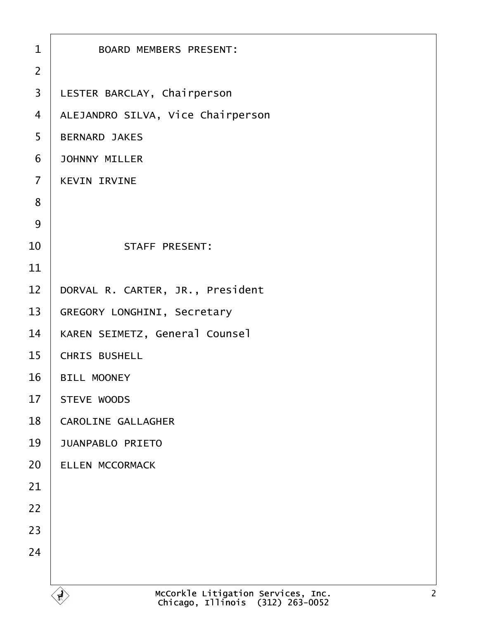|                | McCorkle Litigation Services, Inc.<br>Chicago. Illinois (312) 263-0052<br>$\mathbf{F}$ |  |
|----------------|----------------------------------------------------------------------------------------|--|
| 24             |                                                                                        |  |
|                |                                                                                        |  |
| 23             |                                                                                        |  |
| 22             |                                                                                        |  |
| 21             |                                                                                        |  |
| 20             | <b>JUANPABLO PRIETO</b><br>ELLEN MCCORMACK                                             |  |
| 18<br>19       | CAROLINE GALLAGHER                                                                     |  |
|                |                                                                                        |  |
| 17             | <b>BILL MOONEY</b><br>STEVE WOODS                                                      |  |
| 15<br>16       | CHRIS BUSHELL                                                                          |  |
| 14             | KAREN SEIMETZ, General Counsel                                                         |  |
| 13             | GREGORY LONGHINI, Secretary                                                            |  |
| 12             | DORVAL R. CARTER, JR., President                                                       |  |
| 11             |                                                                                        |  |
| 10             | STAFF PRESENT:                                                                         |  |
| 9              |                                                                                        |  |
| 8              |                                                                                        |  |
| $\overline{7}$ | <b>KEVIN IRVINE</b>                                                                    |  |
| 6              | <b>JOHNNY MILLER</b>                                                                   |  |
| 5              | <b>BERNARD JAKES</b>                                                                   |  |
| $\overline{4}$ | ALEJANDRO SILVA, Vice Chairperson                                                      |  |
| 3              | LESTER BARCLAY, Chairperson                                                            |  |
| $\overline{2}$ |                                                                                        |  |
| $\mathbf{1}$   | <b>BOARD MEMBERS PRESENT:</b>                                                          |  |
|                |                                                                                        |  |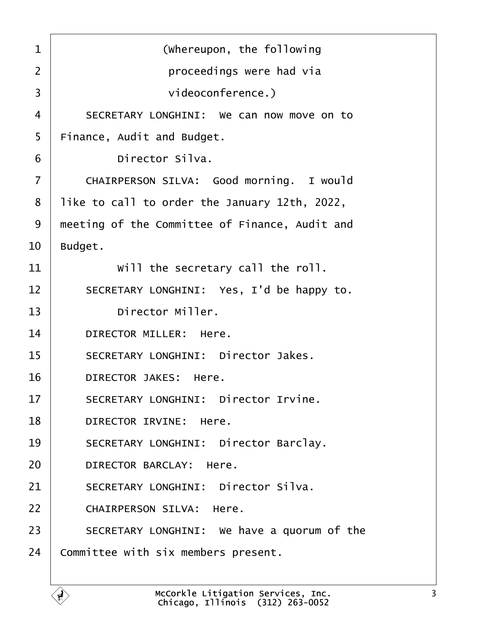<span id="page-2-0"></span>1 | **COLOREGIST (Whereupon, the following** ·2· · · · · · · · · · proceedings were had via 3 **b**  $\blacksquare$  videoconference.) 4 SECRETARY LONGHINI: We can now move on to  $5 \parallel$  Finance, Audit and Budget. 6 birector Silva. 7 | CHAIRPERSON SILVA: Good morning. I would  $8$  | like to call to order the January 12th, 2022, 9 | meeting of the Committee of Finance, Audit and  $10$  Budget.  $11$   $\parallel$  will the secretary call the roll. 12 SECRETARY LONGHINI: Yes, I'd be happy to. 13 birector Miller. 14 DIRECTOR MILLER: Here. 15 | SECRETARY LONGHINI: Director Jakes. 16 DIRECTOR JAKES: Here. 17 SECRETARY LONGHINI: Director Irvine. 18 DIRECTOR IRVINE: Here. 19 | SECRETARY LONGHINI: Director Barclay. 20 DIRECTOR BARCLAY: Here. 21 SECRETARY LONGHINI: Director Silva. 22 CHAIRPERSON SILVA: Here. 23 SECRETARY LONGHINI: We have a quorum of the  $24$  Committee with six members present.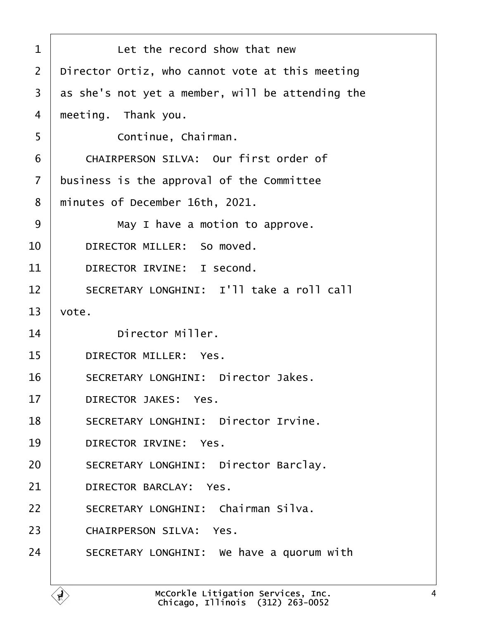<span id="page-3-0"></span>

| 1                 | Let the record show that new                     |
|-------------------|--------------------------------------------------|
| $\overline{2}$    | Director Ortiz, who cannot vote at this meeting  |
| 3                 | as she's not yet a member, will be attending the |
| 4                 | meeting. Thank you.                              |
| 5                 | Continue, Chairman.                              |
| 6                 | CHAIRPERSON SILVA: Our first order of            |
| $\overline{7}$    | business is the approval of the Committee        |
| 8                 | minutes of December 16th, 2021.                  |
| 9                 | May I have a motion to approve.                  |
| 10                | DIRECTOR MILLER: So moved.                       |
| 11                | DIRECTOR IRVINE: I second.                       |
| $12 \overline{ }$ | SECRETARY LONGHINI: I'll take a roll call        |
| 13                | vote.                                            |
| 14                | Director Miller.                                 |
| 15                | DIRECTOR MILLER: Yes.                            |
| 16                | SECRETARY LONGHINI: Director Jakes.              |
| 17                | DIRECTOR JAKES: Yes.                             |
| 18                | SECRETARY LONGHINI: Director Irvine.             |
| 19                | DIRECTOR IRVINE: Yes.                            |
| 20                | SECRETARY LONGHINI: Director Barclay.            |
| 21                | DIRECTOR BARCLAY: Yes.                           |
| 22                | SECRETARY LONGHINI: Chairman Silva.              |
| 23                | CHAIRPERSON SILVA: Yes.                          |
| 24                | SECRETARY LONGHINI: We have a quorum with        |
|                   |                                                  |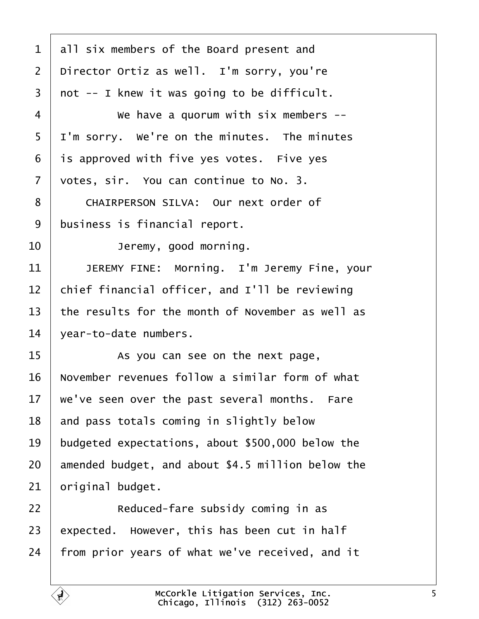<span id="page-4-0"></span> all six members of the Board present and 2 | Director Ortiz as well. I'm sorry, you're not -- I knew it was going to be difficult. 4 We have a quorum with six members -- $5 \mid I'm$  sorry. We're on the minutes. The minutes is approved with five yes votes. Five yes  $\vert$  votes, sir. You can continue to No. 3. 8 | CHAIRPERSON SILVA: Our next order of business is financial report. **I Deremy, good morning.** 11 | JEREMY FINE: Morning. I'm Jeremy Fine, your chief financial officer, and I'll be reviewing  $\parallel$  the results for the month of November as well as vear-to-date numbers. **15** As you can see on the next page,  $\parallel$  November revenues follow a similar form of what  $\vert$  we've seen over the past several months. Fare and pass totals coming in slightly below 19 budgeted expectations, about \$500,000 below the amended budget, and about \$4.5 million below the original budget. **I Reduced-fare subsidy coming in as**  expected. However, this has been cut in half | from prior years of what we've received, and it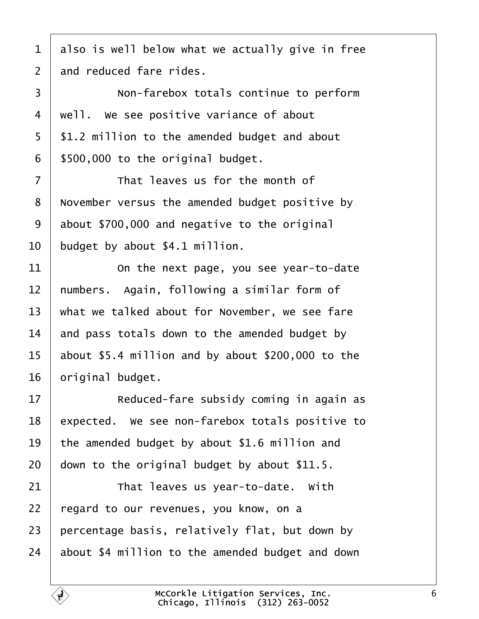<span id="page-5-0"></span> also is well below what we actually give in free and reduced fare rides.

3 | Non-farebox totals continue to perform  $4 \mid$  well. We see positive variance of about | \$1.2 million to the amended budget and about | \$500,000 to the original budget.

  $\parallel$  **That leaves us for the month of** 8 | November versus the amended budget positive by about \$700,000 and negative to the original budget by about \$4.1 million.

  $\vert$  0n the next page, you see year-to-date  $\parallel$  numbers. Again, following a similar form of what we talked about for November, we see fare  $\parallel$  and pass totals down to the amended budget by  $\vert$  about \$5.4 million and by about \$200,000 to the | original budget.

**If the Subsidy coming in again as**  | expected. We see non-farebox totals positive to  $\vert$  the amended budget by about \$1.6 million and down to the original budget by about \$11.5.

  $\parallel$  That leaves us year-to-date. With 22 | regard to our revenues, you know, on a percentage basis, relatively flat, but down by about \$4 million to the amended budget and down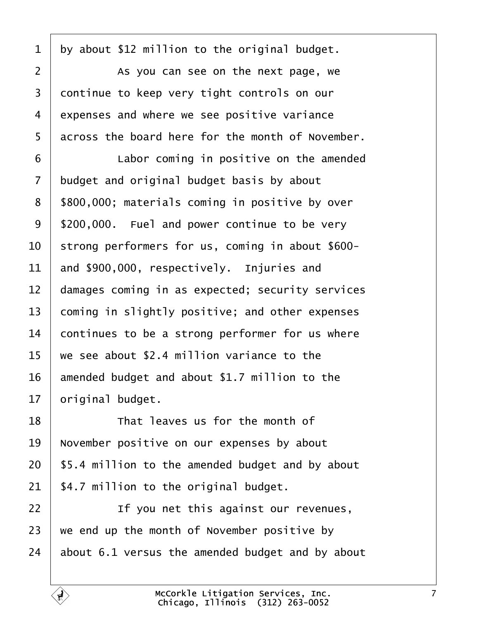<span id="page-6-0"></span> by about \$12 million to the original budget. 2 | As you can see on the next page, we 3 continue to keep very tight controls on our 4 expenses and where we see positive variance across the board here for the month of November. **Labor coming in positive on the amended**  budget and original budget basis by about 8 | \$800,000; materials coming in positive by over | \$200,000. Fuel and power continue to be very | strong performers for us, coming in about \$600- and \$900,000, respectively. Injuries and  $\vert$  damages coming in as expected; security services  $\vert$  coming in slightly positive; and other expenses continues to be a strong performer for us where we see about \$2.4 million variance to the amended budget and about \$1.7 million to the original budget. **I I r**hat leaves us for the month of November positive on our expenses by about

 | \$5.4 million to the amended budget and by about | \$4.7 million to the original budget.

**I If you net this against our revenues**, we end up the month of November positive by about 6.1 versus the amended budget and by about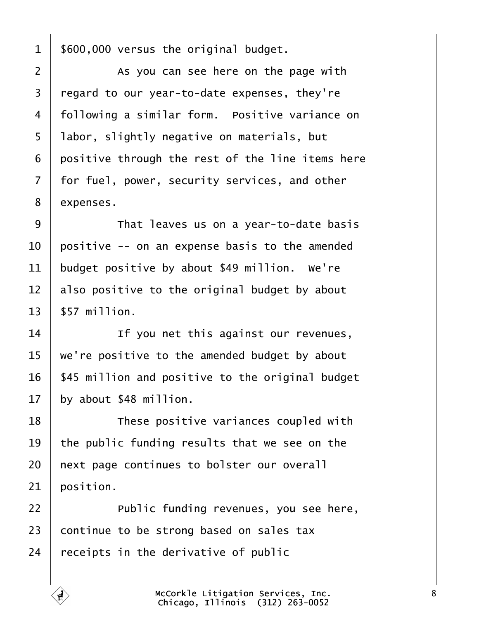<span id="page-7-0"></span>| \$600,000 versus the original budget.

2 | As you can see here on the page with regard to our year-to-date expenses, they're 4 | following a similar form. Positive variance on | labor, slightly negative on materials, but positive through the rest of the line items here  $\vert$  for fuel, power, security services, and other 8 expenses.

**That leaves us on a vear-to-date basis**   $\vert$  positive -- on an expense basis to the amended budget positive by about \$49 million. We're also positive to the original budget by about  $13 \parallel$  \$57 million.

14· · · · · · If you net this against our revenues,  $\parallel$  we're positive to the amended budget by about | \$45 million and positive to the original budget by about \$48 million.

**I I** *These positive variances coupled with*  $\vert$  the public funding results that we see on the | next page continues to bolster our overall position.

22 | Public funding revenues, you see here, continue to be strong based on sales tax receipts in the derivative of public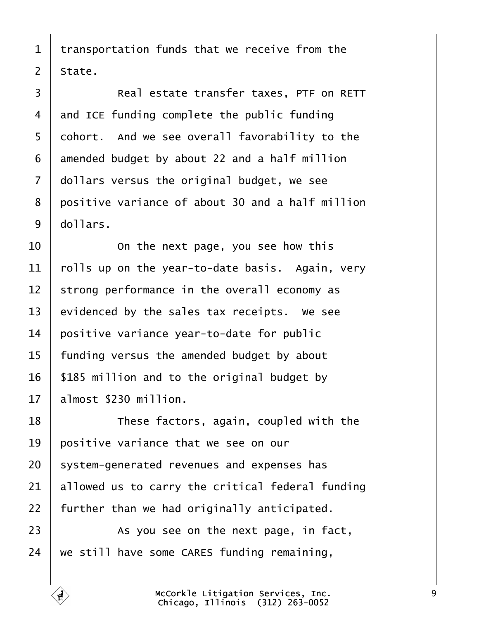<span id="page-8-0"></span> transportation funds that we receive from the | State.

3 | Real estate transfer taxes, PTF on RETT and ICE funding complete the public funding 5 | cohort. And we see overall favorability to the amended budget by about 22 and a half million dollars versus the original budget, we see 8 positive variance of about 30 and a half million dollars.

  $\vert$  0n the next page, you see how this  $\vert$  rolls up on the year-to-date basis. Again, very strong performance in the overall economy as evidenced by the sales tax receipts. We see positive variance year-to-date for public | funding versus the amended budget by about | \$185 million and to the original budget by | almost \$230 million.

18 These factors, again, coupled with the  $\vert$  positive variance that we see on our system-generated revenues and expenses has allowed us to carry the critical federal funding further than we had originally anticipated.

**As you see on the next page, in fact,** we still have some CARES funding remaining,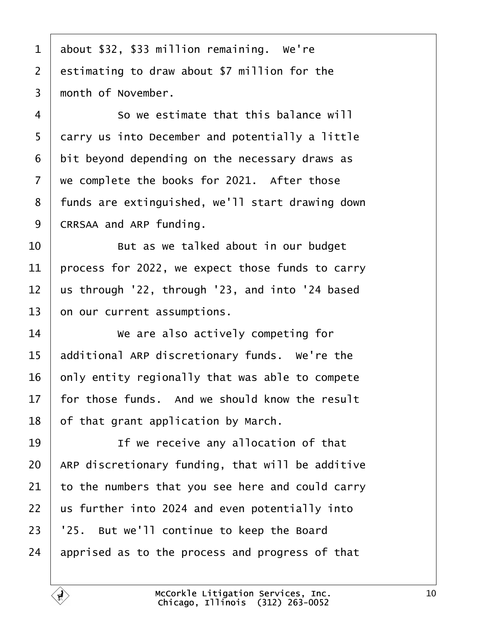<span id="page-9-0"></span> about \$32, \$33 million remaining. We're estimating to draw about \$7 million for the  $\parallel$  month of November.

4 So we estimate that this balance will 5 carry us into December and potentially a little bit beyond depending on the necessary draws as we complete the books for 2021. After those 8 | funds are extinguished, we'll start drawing down CRRSAA and ARP funding.

  $\vert$  8ut as we talked about in our budget 11 | process for 2022, we expect those funds to carry us through '22, through '23, and into '24 based on our current assumptions.

14 We are also actively competing for 15 additional ARP discretionary funds. We're the only entity regionally that was able to compete  $\vert$  for those funds. And we should know the result of that grant application by March.

19· · · · · · If we receive any allocation of that | ARP discretionary funding, that will be additive to the numbers that you see here and could carry us further into 2024 and even potentially into  $\mid$   $25.$  But we'll continue to keep the Board  $\vert$  apprised as to the process and progress of that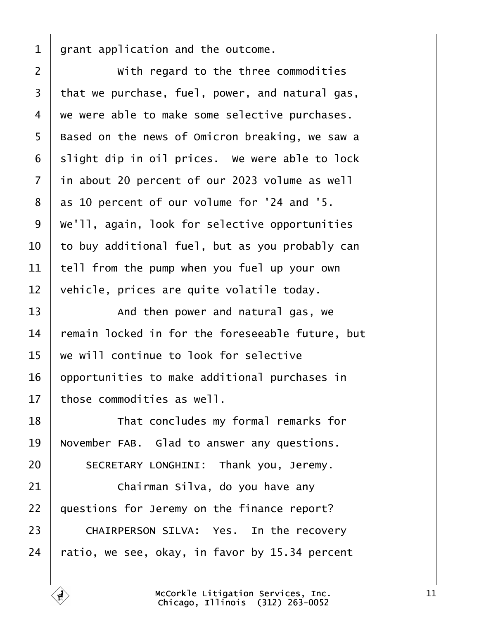<span id="page-10-0"></span>grant application and the outcome.

**With regard to the three commodities**  that we purchase, fuel, power, and natural gas, we were able to make some selective purchases. 5 | Based on the news of Omicron breaking, we saw a slight dip in oil prices. We were able to lock in about 20 percent of our 2023 volume as well as 10 percent of our volume for '24 and '5.  $\mid$  We'll, again, look for selective opportunities  $\vert$  to buy additional fuel, but as you probably can tell from the pump when you fuel up your own  $\vert$  vehicle, prices are quite volatile today.

**I And then power and natural gas, we**  remain locked in for the foreseeable future, but  $\vert$  we will continue to look for selective | opportunities to make additional purchases in | those commodities as well.

18 That concludes my formal remarks for November FAB. Glad to answer any questions. 20 SECRETARY LONGHINI: Thank you, Jeremy.

  $\vert$  **chairman Silva, do you have any**  | questions for Jeremy on the finance report? 23 CHAIRPERSON SILVA: Yes. In the recovery  $\pm$  ratio, we see, okay, in favor by 15.34 percent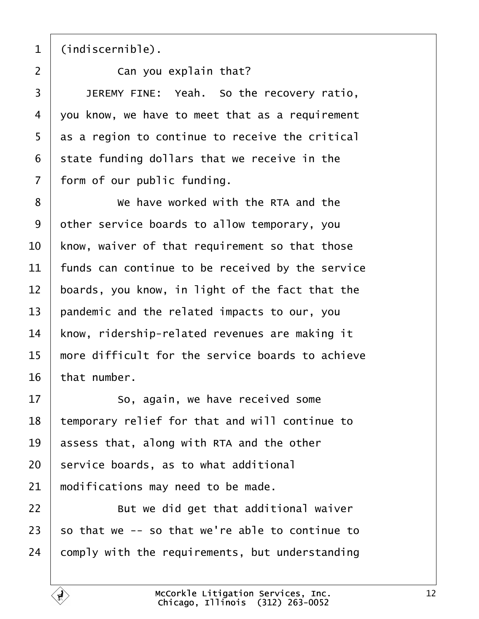<span id="page-11-0"></span>

(indiscernible).

·2· · · · · · Can you explain that? **JEREMY FINE:** Yeah. So the recovery ratio, vou know, we have to meet that as a requirement as a region to continue to receive the critical state funding dollars that we receive in the form of our public funding.

8 We have worked with the RTA and the other service boards to allow temporary, you  $\parallel$  know, waiver of that requirement so that those  $\parallel$  funds can continue to be received by the service boards, you know, in light of the fact that the pandemic and the related impacts to our, you 14 | know, ridership-related revenues are making it  $\parallel$  more difficult for the service boards to achieve that number.

**So, again, we have received some** 18 | temporary relief for that and will continue to  $\vert$  assess that, along with RTA and the other service boards, as to what additional modifications may need to be made.

**I** But we did get that additional waiver so that we -- so that we're able to continue to comply with the requirements, but understanding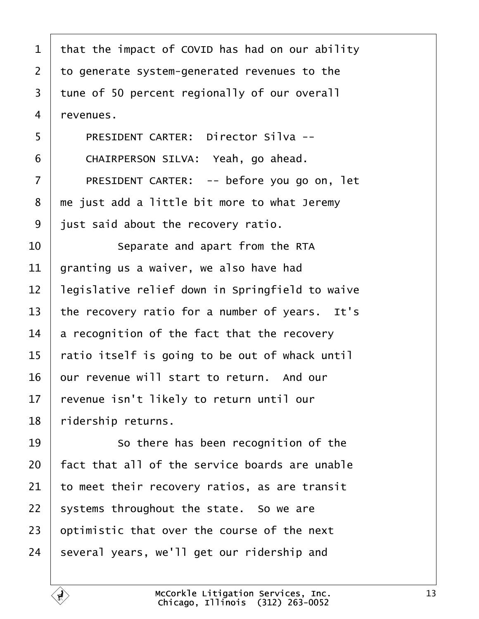<span id="page-12-0"></span>

| $\mathbf 1$    | that the impact of COVID has had on our ability |
|----------------|-------------------------------------------------|
| $\overline{2}$ | to generate system-generated revenues to the    |
| 3              | tune of 50 percent regionally of our overall    |
| $\overline{4}$ | revenues.                                       |
| 5              | PRESIDENT CARTER: Director Silva --             |
| 6              | CHAIRPERSON SILVA: Yeah, go ahead.              |
| $\overline{7}$ | PRESIDENT CARTER: -- before you go on, let      |
| 8              | me just add a little bit more to what Jeremy    |
| 9              | just said about the recovery ratio.             |
| 10             | Separate and apart from the RTA                 |
| 11             | granting us a waiver, we also have had          |
| 12             | legislative relief down in Springfield to waive |
| 13             | the recovery ratio for a number of years. It's  |
| 14             | a recognition of the fact that the recovery     |
| 15             | ratio itself is going to be out of whack until  |
| 16             | our revenue will start to return. And our       |
| 17             | revenue isn't likely to return until our        |
| 18             | ridership returns.                              |
| 19             | So there has been recognition of the            |
| 20             | fact that all of the service boards are unable  |
| 21             | to meet their recovery ratios, as are transit   |
| 22             | systems throughout the state. So we are         |
| 23             | optimistic that over the course of the next     |
| 24             | several years, we'll get our ridership and      |

 $\sqrt{ }$ 

 $\mathbf{\hat{t}}$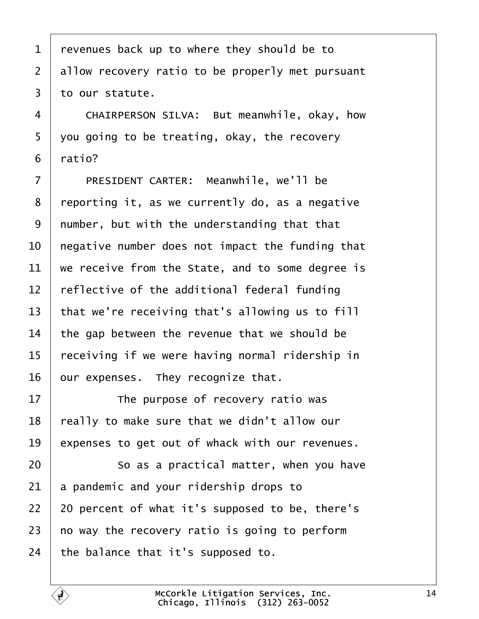<span id="page-13-0"></span> revenues back up to where they should be to allow recovery ratio to be properly met pursuant to our statute.

4 CHAIRPERSON SILVA: But meanwhile, okay, how  $\vert$  you going to be treating, okay, the recovery  $6 \mid$  ratio?

7 | PRESIDENT CARTER: Meanwhile, we'll be | reporting it, as we currently do, as a negative | number, but with the understanding that that  $\vert$  negative number does not impact the funding that  $\vert$  we receive from the State, and to some degree is  $\parallel$  reflective of the additional federal funding  $\vert$  that we're receiving that's allowing us to fill the gap between the revenue that we should be  $\mid$  receiving if we were having normal ridership in | our expenses. They recognize that.

17 The purpose of recovery ratio was | really to make sure that we didn't allow our expenses to get out of whack with our revenues.

**8** · So as a practical matter, when you have a pandemic and your ridership drops to | 20 percent of what it's supposed to be, there's  $\mid$  no way the recovery ratio is going to perform  $\vert$  the balance that it's supposed to.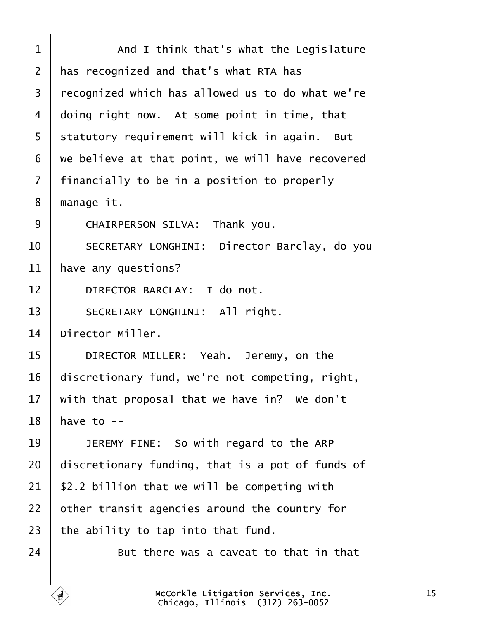<span id="page-14-0"></span>1 | And I think that's what the Legislature 2 | has recognized and that's what RTA has 3 | recognized which has allowed us to do what we're  $4$  doing right now. At some point in time, that 5 | statutory requirement will kick in again. But  $6$  we believe at that point, we will have recovered  $7$  | financially to be in a position to properly  $8 \mid$  manage it. 9 | CHAIRPERSON SILVA: Thank you. 10 SECRETARY LONGHINI: Director Barclay, do you  $11$  have any questions? 12 DIRECTOR BARCLAY: I do not. 13 | SECRETARY LONGHINI: All right.  $14$   $\blacksquare$  Director Miller. 15 DIRECTOR MILLER: Yeah. Jeremy, on the  $16$  discretionary fund, we're not competing, right,  $17$   $\parallel$  with that proposal that we have in? We don't  $18$  have to  $-$ 19 **I JEREMY FINE:** So with regard to the ARP  $20$  discretionary funding, that is a pot of funds of  $21$  | \$2.2 billion that we will be competing with  $22$   $\vert$  other transit agencies around the country for 23  $\vert$  the ability to tap into that fund.  $24$  **But there was a caveat to that in that**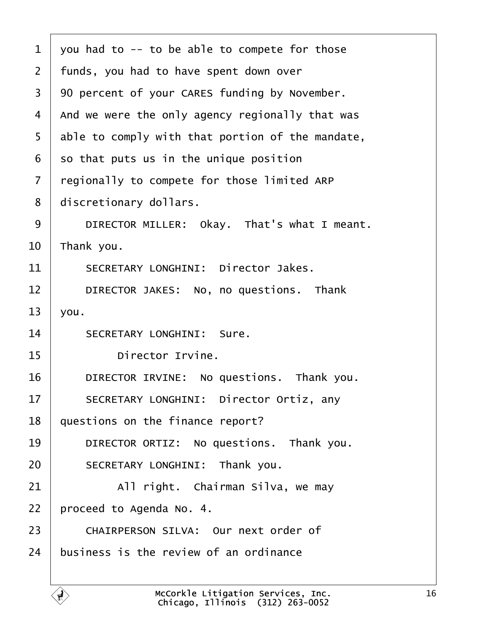<span id="page-15-0"></span>

| $\mathbf 1$    | you had to -- to be able to compete for those                                              |
|----------------|--------------------------------------------------------------------------------------------|
| $\overline{2}$ | funds, you had to have spent down over                                                     |
| 3              | 90 percent of your CARES funding by November.                                              |
| 4              | And we were the only agency regionally that was                                            |
| 5              | able to comply with that portion of the mandate,                                           |
| 6              | so that puts us in the unique position                                                     |
| $\overline{7}$ | regionally to compete for those limited ARP                                                |
| 8              | discretionary dollars.                                                                     |
| 9              | DIRECTOR MILLER: Okay. That's what I meant.                                                |
| 10             | Thank you.                                                                                 |
| 11             | SECRETARY LONGHINI: Director Jakes.                                                        |
| 12             | DIRECTOR JAKES: No, no questions. Thank                                                    |
| 13             | you.                                                                                       |
| 14             | SECRETARY LONGHINI: Sure.                                                                  |
| 15             | Director Irvine.                                                                           |
| 16             | DIRECTOR IRVINE: No questions. Thank you.                                                  |
| 17             | SECRETARY LONGHINI: Director Ortiz, any                                                    |
| 18             | questions on the finance report?                                                           |
| 19             | DIRECTOR ORTIZ: No questions. Thank you.                                                   |
| 20             | SECRETARY LONGHINI: Thank you.                                                             |
| 21             | All right. Chairman Silva, we may                                                          |
| 22             | proceed to Agenda No. 4.                                                                   |
| 23             | CHAIRPERSON SILVA: Our next order of                                                       |
| 24             | business is the review of an ordinance                                                     |
|                |                                                                                            |
|                | McCorkle Litigation Services, Inc.<br>$\boldsymbol{d}$<br>Chicago, Illinois (312) 263-0052 |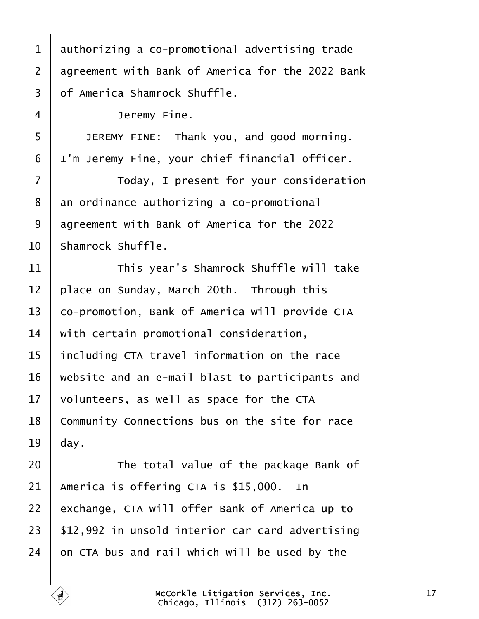<span id="page-16-0"></span> authorizing a co-promotional advertising trade 2 aareement with Bank of America for the 2022 Bank  $3 \mid$  of America Shamrock Shuffle. 4 Jeremy Fine. **JEREMY FINE:** Thank you, and good morning.  $\vert$  I'm Jeremy Fine, your chief financial officer. 7 | Today, I present for your consideration an ordinance authorizing a co-promotional 9 aareement with Bank of America for the 2022 Shamrock Shuffle. **I I I** This year's Shamrock Shuffle will take place on Sunday, March 20th. Through this 13 | co-promotion, Bank of America will provide CTA  $\parallel$  with certain promotional consideration, including CTA travel information on the race | website and an e-mail blast to participants and volunteers, as well as space for the CTA 18 Community Connections bus on the site for race dav. **The total value of the package Bank of**  | America is offering CTA is \$15,000. In 22 exchange, CTA will offer Bank of America up to | \$12,992 in unsold interior car card advertising on CTA bus and rail which will be used by the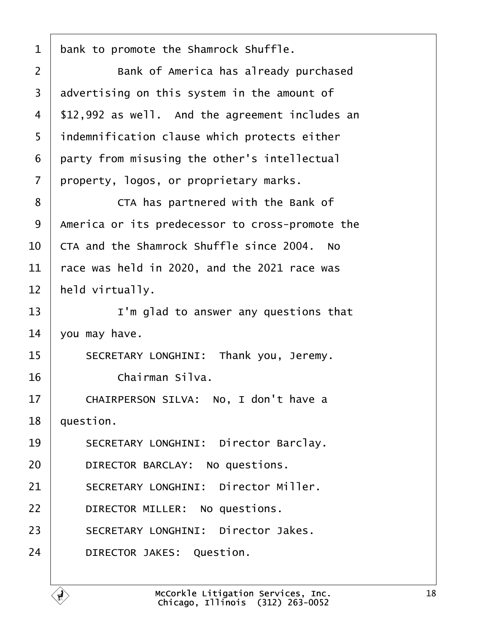<span id="page-17-0"></span>1 | bank to promote the Shamrock Shuffle.

2 | Bank of America has already purchased  $3$  advertising on this system in the amount of  $4$  | \$12,992 as well. And the agreement includes an 5 | indemnification clause which protects either  $6$  party from misusing the other's intellectual 7 property, logos, or proprietary marks.

8 | CTA has partnered with the Bank of  $\overline{\phantom{a}}$  america or its predecessor to cross-promote the  $\overline{C}$  CTA and the Shamrock Shuffle since 2004. No  $\vert$  race was held in 2020, and the 2021 race was | held virtually.

13· · · · · · I'm glad to answer any questions that  $14$   $\sqrt{ }$  you may have.

15 | SECRETARY LONGHINI: Thank you, Jeremy.  $16$   $\phantom{00}$   $\phantom{00}$   $\phantom{00}$   $\phantom{0}$   $\phantom{0}$   $\phantom{0}$   $\phantom{0}$   $\phantom{0}$   $\phantom{0}$   $\phantom{0}$   $\phantom{0}$   $\phantom{0}$   $\phantom{0}$   $\phantom{0}$   $\phantom{0}$   $\phantom{0}$   $\phantom{0}$   $\phantom{0}$   $\phantom{0}$   $\phantom{0}$   $\phantom{0}$   $\phantom{0}$   $\phantom{0}$   $\phantom{0$ 

17 | CHAIRPERSON SILVA: No, I don't have a  $18$  | question.

19 SECRETARY LONGHINI: Director Barclay.

20 DIRECTOR BARCLAY: No questions.

21 SECRETARY LONGHINI: Director Miller.

22 **DIRECTOR MILLER:** No questions.

23 SECRETARY LONGHINI: Director Jakes.

24 DIRECTOR JAKES: Question.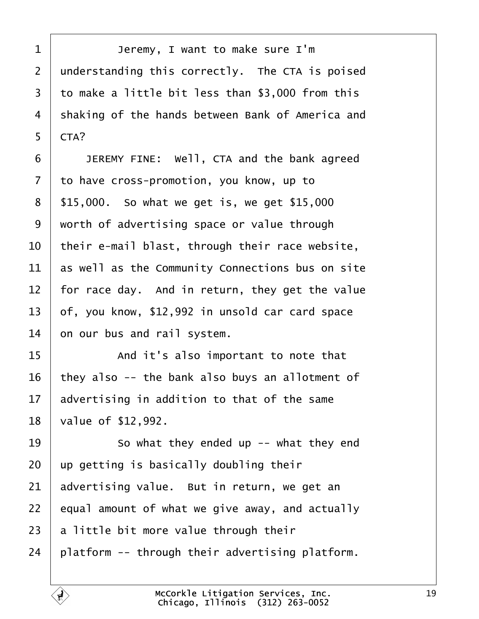<span id="page-18-0"></span>1 | Jeremy, I want to make sure I'm understanding this correctly. The CTA is poised  $\vert$  to make a little bit less than \$3,000 from this 4 Shaking of the hands between Bank of America and  $CTA?$ 

**JEREMY FINE:** Well, CTA and the bank agreed to have cross-promotion, you know, up to | \$15,000. So what we get is, we get \$15,000 worth of advertising space or value through  $\vert$  their e-mail blast, through their race website, as well as the Community Connections bus on site  $\vert$  for race day. And in return, they get the value | of, you know, \$12,992 in unsold car card space on our bus and rail system.

15 | The same of the salso important to note that they also -- the bank also buys an allotment of advertising in addition to that of the same | value of \$12,992.

 $\parallel$  50 what they ended up -- what they end  $\vert$  up getting is basically doubling their advertising value. But in return, we get an equal amount of what we give away, and actually a little bit more value through their | platform -- through their advertising platform.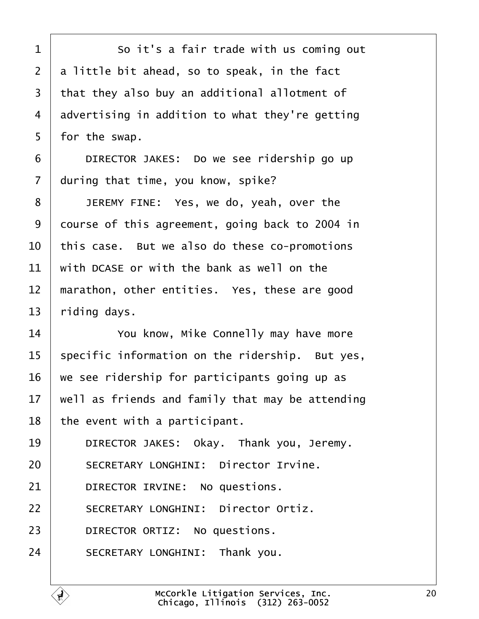<span id="page-19-0"></span>1 So it's a fair trade with us coming out  $2$   $\vert$  a little bit ahead, so to speak, in the fact 3 that they also buy an additional allotment of  $4$  advertising in addition to what they're getting  $5 \mid$  for the swap.

6 **DIRECTOR JAKES:** Do we see ridership go up  $7$  during that time, you know, spike?

**JEREMY FINE:** Yes, we do, yeah, over the 9 | course of this agreement, going back to 2004 in  $\vert$  this case. But we also do these co-promotions with DCASE or with the bank as well on the  $\parallel$  marathon, other entities. Yes, these are good riding days.

**I** *You know, Mike Connelly may have more*  specific information on the ridership. But yes,  $\vert$  we see ridership for participants going up as  $\parallel$  well as friends and family that may be attending the event with a participant.

19 DIRECTOR JAKES: Okay. Thank you, Jeremy.

20 SECRETARY LONGHINI: Director Irvine.

 $21$  **DIRECTOR IRVINE:** No questions.

22 | SECRETARY LONGHINI: Director Ortiz.

23 DIRECTOR ORTIZ: No questions.

24 SECRETARY LONGHINI: Thank you.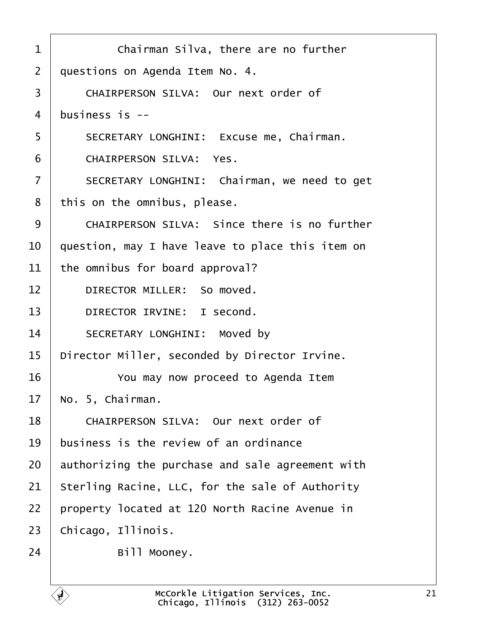<span id="page-20-0"></span>

| $\mathbf 1$    | Chairman Silva, there are no further             |
|----------------|--------------------------------------------------|
|                |                                                  |
| $\overline{2}$ | questions on Agenda Item No. 4.                  |
| 3              | CHAIRPERSON SILVA: Our next order of             |
| $\overline{4}$ | business is $-$                                  |
| 5              | SECRETARY LONGHINI: Excuse me, Chairman.         |
| 6              | CHAIRPERSON SILVA: Yes.                          |
| $\overline{7}$ | SECRETARY LONGHINI: Chairman, we need to get     |
| 8              | this on the omnibus, please.                     |
| 9              | CHAIRPERSON SILVA: Since there is no further     |
| 10             | question, may I have leave to place this item on |
| 11             | the omnibus for board approval?                  |
| 12             | DIRECTOR MILLER: So moved.                       |
| 13             | DIRECTOR IRVINE: I second.                       |
| 14             | SECRETARY LONGHINI: Moved by                     |
| 15             | Director Miller, seconded by Director Irvine.    |
| 16             | You may now proceed to Agenda Item               |
| 17             | No. 5, Chairman.                                 |
| 18             | CHAIRPERSON SILVA: Our next order of             |
| 19             | business is the review of an ordinance           |
| 20             | authorizing the purchase and sale agreement with |
| 21             | Sterling Racine, LLC, for the sale of Authority  |
| 22             | property located at 120 North Racine Avenue in   |
| 23             | Chicago, Illinois.                               |
| 24             | Bill Mooney.                                     |
|                |                                                  |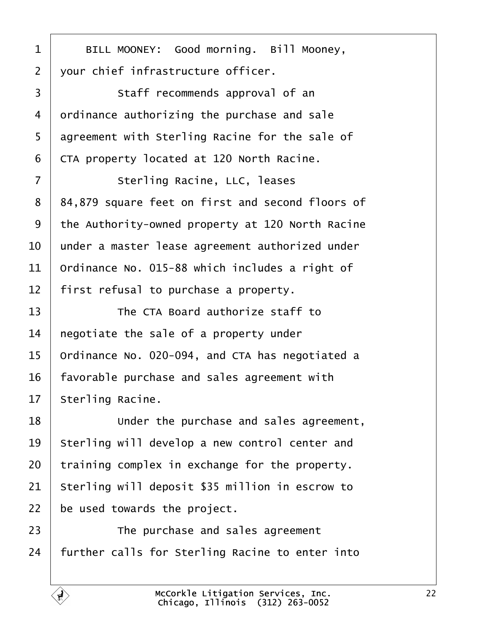<span id="page-21-0"></span>1 | BILL MOONEY: Good morning. Bill Mooney,  $2 \mid$  vour chief infrastructure officer. 3 | Staff recommends approval of an  $4$  ordinance authorizing the purchase and sale 5 agreement with Sterling Racine for the sale of

 $6$  CTA property located at 120 North Racine.

7 | Sterling Racine, LLC, leases 8 | 84,879 square feet on first and second floors of 9 | the Authority-owned property at 120 North Racine  $10$   $\parallel$  under a master lease agreement authorized under  $11$  Ordinance No. 015-88 which includes a right of  $12$  | first refusal to purchase a property.

  $\parallel$  **The CTA Board authorize staff to**  | negotiate the sale of a property under  $\vert$  Ordinance No. 020-094, and CTA has negotiated a | favorable purchase and sales agreement with | Sterling Racine.

**I Under the purchase and sales agreement**, 19 Sterling will develop a new control center and training complex in exchange for the property. Sterling will deposit \$35 million in escrow to  $\vert$  be used towards the project.

23 The purchase and sales agreement  $24$  further calls for Sterling Racine to enter into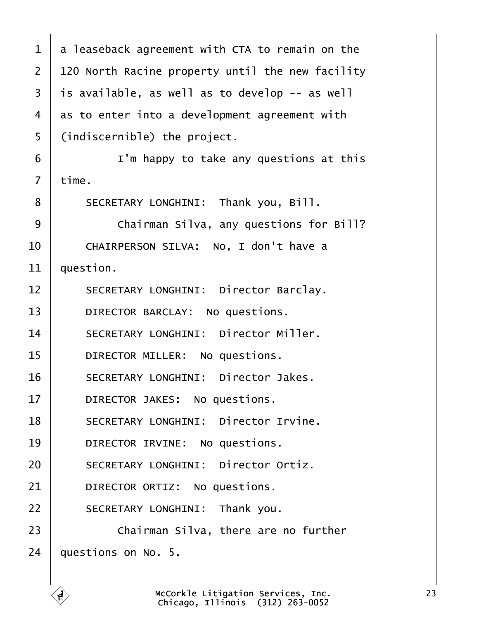<span id="page-22-0"></span>

| $\mathbf 1$    | a leaseback agreement with CTA to remain on the  |
|----------------|--------------------------------------------------|
| $\overline{2}$ | 120 North Racine property until the new facility |
| 3              | is available, as well as to develop -- as well   |
| 4              | as to enter into a development agreement with    |
| 5              | (indiscernible) the project.                     |
| 6              | I'm happy to take any questions at this          |
| $\overline{7}$ | time.                                            |
| 8              | SECRETARY LONGHINI: Thank you, Bill.             |
| 9              | Chairman Silva, any questions for Bill?          |
| 10             | CHAIRPERSON SILVA: No, I don't have a            |
| 11             | question.                                        |
| 12             | SECRETARY LONGHINI: Director Barclay.            |
| 13             | DIRECTOR BARCLAY: No questions.                  |
| 14             | SECRETARY LONGHINI: Director Miller.             |
| 15             | DIRECTOR MILLER: No questions.                   |
| 16             | SECRETARY LONGHINI: Director Jakes.              |
| 17             | DIRECTOR JAKES: No questions.                    |
| 18             | SECRETARY LONGHINI: Director Irvine.             |
| 19             | DIRECTOR IRVINE: No questions.                   |
| 20             | SECRETARY LONGHINI: Director Ortiz.              |
| 21             | DIRECTOR ORTIZ: No questions.                    |
| 22             | SECRETARY LONGHINI: Thank you.                   |
| 23             | Chairman Silva, there are no further             |
| 24             | questions on No. 5.                              |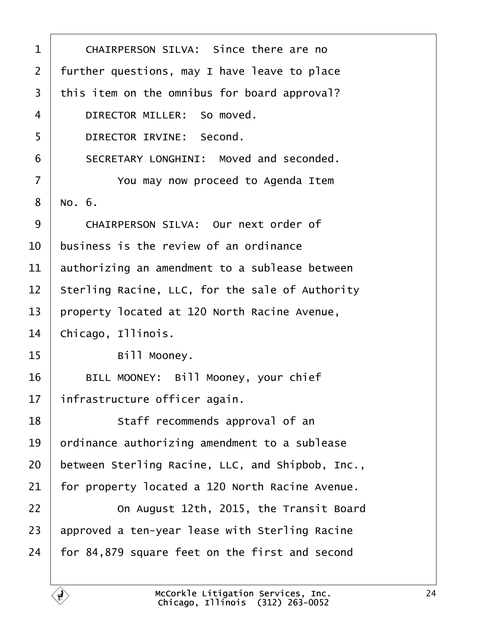<span id="page-23-0"></span>

| $\mathbf 1$    | CHAIRPERSON SILVA: Since there are no            |
|----------------|--------------------------------------------------|
| $\overline{2}$ | further questions, may I have leave to place     |
| 3              | this item on the omnibus for board approval?     |
| 4              | DIRECTOR MILLER: So moved.                       |
| 5              | DIRECTOR IRVINE: Second.                         |
| 6              | SECRETARY LONGHINI: Moved and seconded.          |
| $\overline{7}$ | You may now proceed to Agenda Item               |
| 8              | No. 6.                                           |
| 9              | CHAIRPERSON SILVA: Our next order of             |
| 10             | business is the review of an ordinance           |
| 11             | authorizing an amendment to a sublease between   |
| 12             | Sterling Racine, LLC, for the sale of Authority  |
| 13             | property located at 120 North Racine Avenue,     |
| 14             | Chicago, Illinois.                               |
| 15             | Bill Mooney.                                     |
| 16             | BILL MOONEY: Bill Mooney, your chief             |
| 17             | infrastructure officer again.                    |
| 18             | Staff recommends approval of an                  |
| 19             | ordinance authorizing amendment to a sublease    |
| 20             | between Sterling Racine, LLC, and Shipbob, Inc., |
| 21             | for property located a 120 North Racine Avenue.  |
| 22             | On August 12th, 2015, the Transit Board          |
| 23             | approved a ten-year lease with Sterling Racine   |
| 24             | for 84,879 square feet on the first and second   |
|                |                                                  |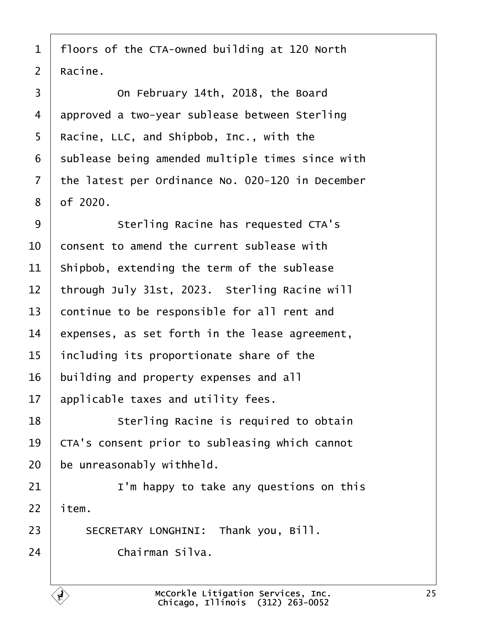<span id="page-24-0"></span> | floors of the CTA-owned building at 120 North  $2 \mid$  Racine.

**On February 14th, 2018, the Board**  approved a two-year sublease between Sterling | Racine, LLC, and Shipbob, Inc., with the sublease being amended multiple times since with the latest per Ordinance No. 020-120 in December | of 2020.

9 | Sterling Racine has requested CTA's  $10<sup>1</sup>$  consent to amend the current sublease with shipbob, extending the term of the sublease 12 bthrough July 31st. 2023. Sterling Racine will continue to be responsible for all rent and expenses, as set forth in the lease agreement, including its proportionate share of the building and property expenses and all applicable taxes and utility fees.

**I** Sterling Racine is required to obtain 19 CTA's consent prior to subleasing which cannot be unreasonably withheld.

21· · · · · · I'm happy to take any questions on this item.

23 SECRETARY LONGHINI: Thank you, Bill. 24· · · · · · Chairman Silva.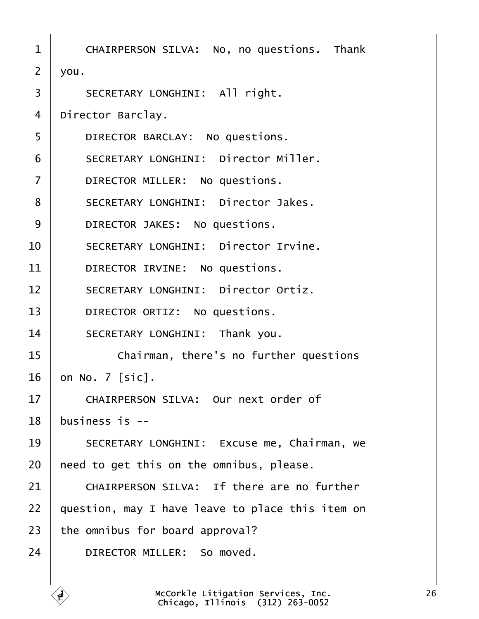<span id="page-25-0"></span>

| $\mathbf 1$    | CHAIRPERSON SILVA: No, no questions. Thank       |
|----------------|--------------------------------------------------|
| $\overline{2}$ | you.                                             |
| 3              | SECRETARY LONGHINI: All right.                   |
| 4              | Director Barclay.                                |
| 5              | DIRECTOR BARCLAY: No questions.                  |
| 6              | SECRETARY LONGHINI: Director Miller.             |
| $\overline{7}$ | DIRECTOR MILLER: No questions.                   |
| 8              | SECRETARY LONGHINI: Director Jakes.              |
| 9              | DIRECTOR JAKES: No questions.                    |
| 10             | SECRETARY LONGHINI: Director Irvine.             |
| 11             | DIRECTOR IRVINE: No questions.                   |
| 12             | SECRETARY LONGHINI: Director Ortiz.              |
| 13             | DIRECTOR ORTIZ: No questions.                    |
| 14             | SECRETARY LONGHINI: Thank you.                   |
| 15             | Chairman, there's no further questions           |
| 16             | on No. 7 [sic].                                  |
| 17             | CHAIRPERSON SILVA: Our next order of             |
| 18             | business is $-$                                  |
| 19             | SECRETARY LONGHINI: Excuse me, Chairman, we      |
| 20             | need to get this on the omnibus, please.         |
| 21             | CHAIRPERSON SILVA: If there are no further       |
| 22             | question, may I have leave to place this item on |
| 23             | the omnibus for board approval?                  |
| 24             | DIRECTOR MILLER: So moved.                       |
|                |                                                  |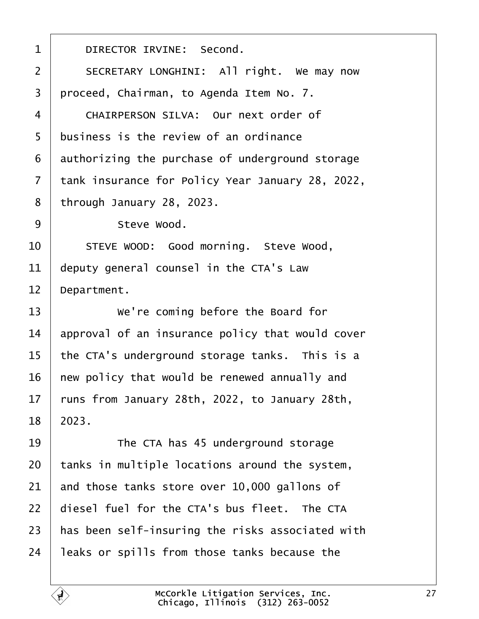<span id="page-26-0"></span>1 DIRECTOR IRVINE: Second. 2 | SECRETARY LONGHINI: All right. We may now 3 proceed, Chairman, to Agenda Item No. 7. 4 CHAIRPERSON SILVA: Our next order of 5 business is the review of an ordinance  $6$  authorizing the purchase of underground storage 7 | tank insurance for Policy Year January 28, 2022,  $8$  through January 28, 2023. 9 Steve Wood. 10 STEVE WOOD: Good morning. Steve Wood,  $11$  deputy general counsel in the CTA's Law  $12$  Department. 13 We're coming before the Board for  $14$  approval of an insurance policy that would cover 15  $\vert$  the CTA's underground storage tanks. This is a  $16$  | new policy that would be renewed annually and  $17$  runs from January 28th, 2022, to January 28th,  $18$  | 2023. 19 The CTA has 45 underground storage  $20$  | tanks in multiple locations around the system,  $21$  and those tanks store over 10,000 gallons of  $22$   $\pm$  diesel fuel for the CTA's bus fleet. The CTA  $23$   $\vert$  has been self-insuring the risks associated with  $24$  | leaks or spills from those tanks because the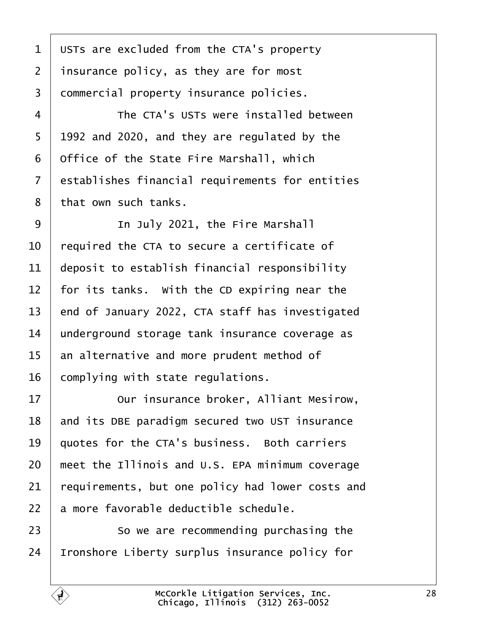<span id="page-27-0"></span> USTs are excluded from the CTA's property | insurance policy, as they are for most 3 | commercial property insurance policies.

4 The CTA's USTs were installed between  $5 \mid 1992$  and 2020, and they are regulated by the  $\vert$  Office of the State Fire Marshall, which 7 establishes financial requirements for entities 8 | that own such tanks.

9 | Th July 2021, the Fire Marshall  $\vert$  required the CTA to secure a certificate of deposit to establish financial responsibility  $\vert$  for its tanks. With the CD expiring near the  $\vert$  end of January 2022, CTA staff has investigated underground storage tank insurance coverage as an alternative and more prudent method of complying with state regulations.

**DEEP IS 12** Our insurance broker, Alliant Mesirow, 18 and its DBE paradigm secured two UST insurance  $\vert$  quotes for the CTA's business. Both carriers  $\parallel$  meet the Illinois and U.S. EPA minimum coverage requirements, but one policy had lower costs and a more favorable deductible schedule.

**So we are recommending purchasing the** Ironshore Liberty surplus insurance policy for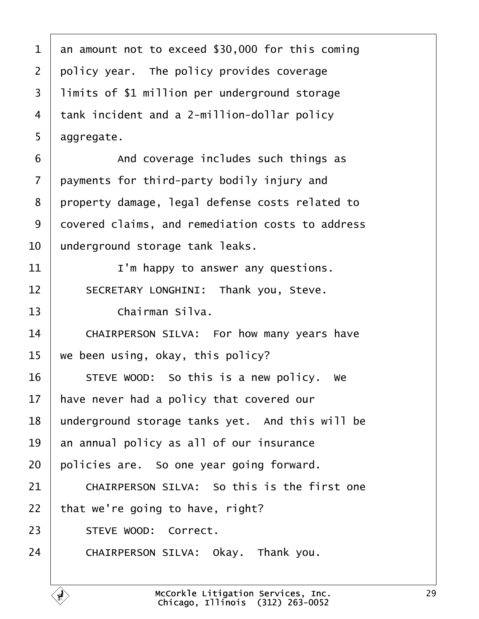<span id="page-28-0"></span>

| $\mathbf 1$    | an amount not to exceed \$30,000 for this coming |
|----------------|--------------------------------------------------|
| $\overline{2}$ | policy year. The policy provides coverage        |
| $\overline{3}$ | limits of \$1 million per underground storage    |
| 4              | tank incident and a 2-million-dollar policy      |
| 5              | aggregate.                                       |
| 6              | And coverage includes such things as             |
| $\overline{7}$ | payments for third-party bodily injury and       |
| 8              | property damage, legal defense costs related to  |
| 9              | covered claims, and remediation costs to address |
| 10             | underground storage tank leaks.                  |
| 11             | I'm happy to answer any questions.               |
| 12             | SECRETARY LONGHINI: Thank you, Steve.            |
| 13             | Chairman Silva.                                  |
| 14             | CHAIRPERSON SILVA: For how many years have       |
| 15             | we been using, okay, this policy?                |
| 16             | STEVE WOOD: So this is a new policy.<br>we       |
| 17             | have never had a policy that covered our         |
| 18             | underground storage tanks yet. And this will be  |
| 19             | an annual policy as all of our insurance         |
| 20             | policies are. So one year going forward.         |
| 21             | CHAIRPERSON SILVA: So this is the first one      |
| 22             | that we're going to have, right?                 |
| 23             | STEVE WOOD: Correct.                             |
| 24             | CHAIRPERSON SILVA: Okay. Thank you.              |
|                |                                                  |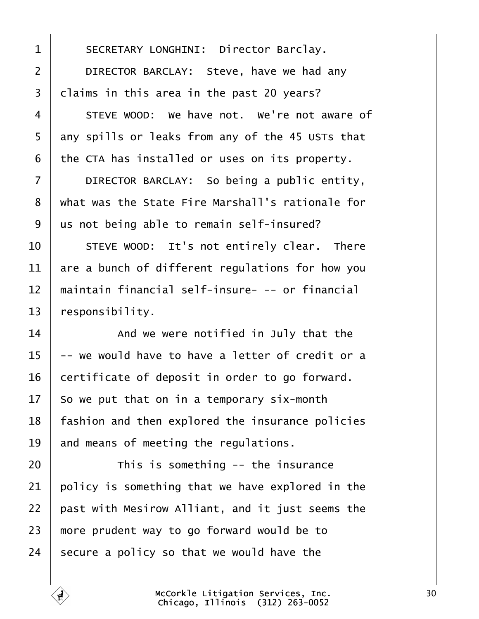<span id="page-29-0"></span>1 | SECRETARY LONGHINI: Director Barclay. 2 DIRECTOR BARCLAY: Steve, have we had any claims in this area in the past 20 years? 4 STEVE WOOD: We have not. We're not aware of any spills or leaks from any of the 45 USTs that

the CTA has installed or uses on its property.

7 DIRECTOR BARCLAY: So being a public entity, 8 | what was the State Fire Marshall's rationale for  $\vert$  us not being able to remain self-insured?

  $\vert$   $\vert$  steve wood: It's not entirely clear. There are a bunch of different regulations for how you 12 I maintain financial self-insure- -- or financial | responsibility.

  $\parallel$  and we were notified in July that the  $\vert$  -- we would have to have a letter of credit or a certificate of deposit in order to go forward. So we put that on in a temporary six-month | fashion and then explored the insurance policies and means of meeting the regulations.

20· · · · · · This is something -- the insurance policy is something that we have explored in the  $\mid$  past with Mesirow Alliant, and it just seems the  $\mid$  more prudent way to go forward would be to secure a policy so that we would have the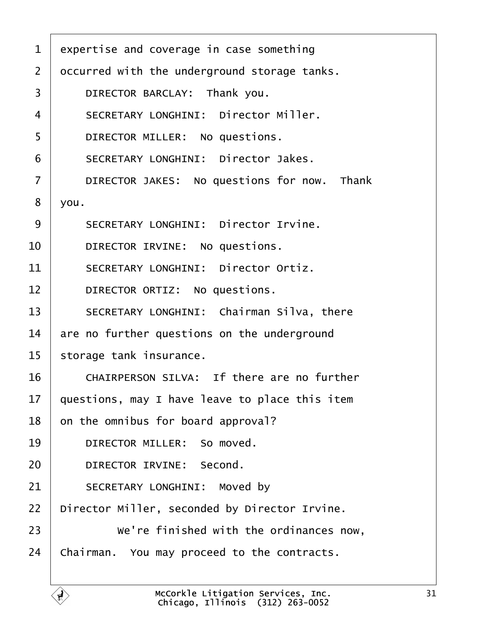<span id="page-30-0"></span>

| $\mathbf{1}$   | expertise and coverage in case something       |
|----------------|------------------------------------------------|
| $\overline{2}$ | occurred with the underground storage tanks.   |
| 3              | DIRECTOR BARCLAY: Thank you.                   |
| 4              | SECRETARY LONGHINI: Director Miller.           |
| 5              | DIRECTOR MILLER: No questions.                 |
| 6              | SECRETARY LONGHINI: Director Jakes.            |
| $\overline{7}$ | DIRECTOR JAKES: No questions for now. Thank    |
| 8              | you.                                           |
| 9              | SECRETARY LONGHINI: Director Irvine.           |
| 10             | DIRECTOR IRVINE: No questions.                 |
| 11             | SECRETARY LONGHINI: Director Ortiz.            |
| 12             | DIRECTOR ORTIZ: No questions.                  |
| 13             | SECRETARY LONGHINI: Chairman Silva, there      |
| 14             | are no further questions on the underground    |
| 15             | storage tank insurance.                        |
| 16             | CHAIRPERSON SILVA: If there are no further     |
| 17             | questions, may I have leave to place this item |
| 18             | on the omnibus for board approval?             |
| 19             | DIRECTOR MILLER: So moved.                     |
| 20             | DIRECTOR IRVINE: Second.                       |
| 21             | SECRETARY LONGHINI: Moved by                   |
| 22             | Director Miller, seconded by Director Irvine.  |
| 23             | We're finished with the ordinances now,        |
| 24             | Chairman. You may proceed to the contracts.    |
|                |                                                |

Ē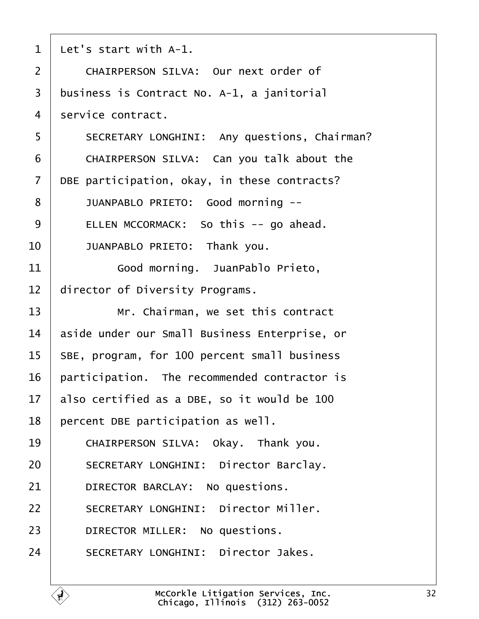<span id="page-31-0"></span>

| $\mathbf{1}$   | Let's start with A-1.                         |
|----------------|-----------------------------------------------|
| $\overline{2}$ | CHAIRPERSON SILVA: Our next order of          |
| 3              | business is Contract No. A-1, a janitorial    |
| 4              | service contract.                             |
| 5              | SECRETARY LONGHINI: Any questions, Chairman?  |
| 6              | CHAIRPERSON SILVA: Can you talk about the     |
| $\overline{7}$ | DBE participation, okay, in these contracts?  |
| 8              | JUANPABLO PRIETO: Good morning --             |
| 9              | ELLEN MCCORMACK: So this -- go ahead.         |
| 10             | JUANPABLO PRIETO: Thank you.                  |
| 11             | Good morning. JuanPablo Prieto,               |
| 12             | director of Diversity Programs.               |
| 13             | Mr. Chairman, we set this contract            |
| 14             | aside under our Small Business Enterprise, or |
| 15             | SBE, program, for 100 percent small business  |
| 16             | participation. The recommended contractor is  |
| 17             | also certified as a DBE, so it would be 100   |
| 18             | percent DBE participation as well.            |
| 19             | CHAIRPERSON SILVA: Okay. Thank you.           |
| 20             | SECRETARY LONGHINI: Director Barclay.         |
| 21             | DIRECTOR BARCLAY: No questions.               |
| 22             | SECRETARY LONGHINI: Director Miller.          |
| 23             | DIRECTOR MILLER: No questions.                |
| 24             | SECRETARY LONGHINI: Director Jakes.           |
|                |                                               |

É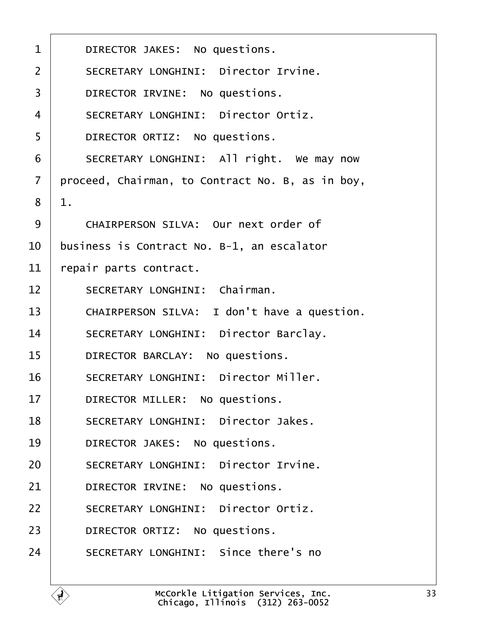<span id="page-32-0"></span>

| $\mathbf{1}$   | DIRECTOR JAKES: No questions.                    |
|----------------|--------------------------------------------------|
| $\overline{2}$ | SECRETARY LONGHINI: Director Irvine.             |
| 3              | DIRECTOR IRVINE: No questions.                   |
| $\overline{4}$ | SECRETARY LONGHINI: Director Ortiz.              |
| 5              | DIRECTOR ORTIZ: No questions.                    |
| 6              | SECRETARY LONGHINI: All right. We may now        |
| $\overline{7}$ | proceed, Chairman, to Contract No. B, as in boy, |
| 8              | $1$ .                                            |
| 9              | CHAIRPERSON SILVA: Our next order of             |
| 10             | business is Contract No. B-1, an escalator       |
| 11             | repair parts contract.                           |
| 12             | SECRETARY LONGHINI: Chairman.                    |
| 13             | CHAIRPERSON SILVA: I don't have a question.      |
| 14             | SECRETARY LONGHINI: Director Barclay.            |
| 15             | DIRECTOR BARCLAY: No questions.                  |
| 16             | SECRETARY LONGHINI: Director Miller.             |
| 17             | DIRECTOR MILLER: No questions.                   |
| 18             | SECRETARY LONGHINI: Director Jakes.              |
| 19             | DIRECTOR JAKES: No questions.                    |
| 20             | SECRETARY LONGHINI: Director Irvine.             |
| 21             | DIRECTOR IRVINE: No questions.                   |
| 22             | SECRETARY LONGHINI: Director Ortiz.              |
| 23             | DIRECTOR ORTIZ: No questions.                    |
| 24             | SECRETARY LONGHINI: Since there's no             |
|                |                                                  |

ſ.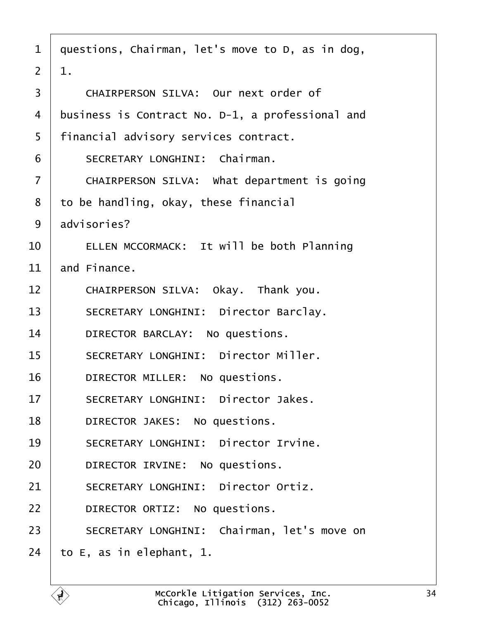<span id="page-33-0"></span>

| $\mathbf{1}$   | questions, Chairman, let's move to D, as in dog, |
|----------------|--------------------------------------------------|
| $\overline{2}$ | 1.                                               |
| 3              | CHAIRPERSON SILVA: Our next order of             |
| 4              | business is Contract No. D-1, a professional and |
| 5              | financial advisory services contract.            |
| 6              | SECRETARY LONGHINI: Chairman.                    |
| $\overline{7}$ | CHAIRPERSON SILVA: What department is going      |
| 8              | to be handling, okay, these financial            |
| 9              | advisories?                                      |
| 10             | ELLEN MCCORMACK: It will be both Planning        |
| 11             | and Finance.                                     |
| 12             | CHAIRPERSON SILVA: Okay. Thank you.              |
| 13             | SECRETARY LONGHINI: Director Barclay.            |
| 14             | DIRECTOR BARCLAY: No questions.                  |
| 15             | SECRETARY LONGHINI: Director Miller.             |
| 16             | DIRECTOR MILLER: No questions.                   |
| 17             | SECRETARY LONGHINI: Director Jakes.              |
| 18             | DIRECTOR JAKES: No questions.                    |
| 19             | SECRETARY LONGHINI: Director Irvine.             |
| 20             | DIRECTOR IRVINE: No questions.                   |
| 21             | SECRETARY LONGHINI: Director Ortiz.              |
| 22             | DIRECTOR ORTIZ: No questions.                    |
| 23             | SECRETARY LONGHINI: Chairman, let's move on      |
| 24             | to E, as in elephant, 1.                         |

É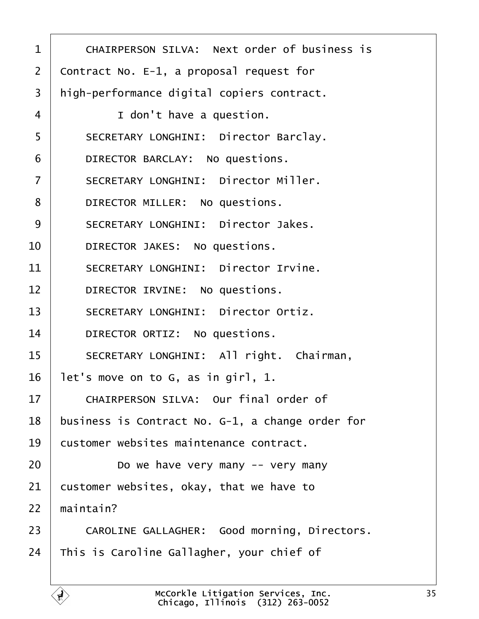<span id="page-34-0"></span>

| $\mathbf 1$    | CHAIRPERSON SILVA: Next order of business is     |
|----------------|--------------------------------------------------|
| $\overline{2}$ | Contract No. $E-1$ , a proposal request for      |
| 3              | high-performance digital copiers contract.       |
| 4              | I don't have a question.                         |
| 5              | SECRETARY LONGHINI: Director Barclay.            |
| 6              | DIRECTOR BARCLAY: No questions.                  |
| $\overline{7}$ | SECRETARY LONGHINI: Director Miller.             |
| 8              | DIRECTOR MILLER: No questions.                   |
| 9              | SECRETARY LONGHINI: Director Jakes.              |
| 10             | DIRECTOR JAKES: No questions.                    |
| 11             | SECRETARY LONGHINI: Director Irvine.             |
| 12             | DIRECTOR IRVINE: No questions.                   |
| 13             | SECRETARY LONGHINI: Director Ortiz.              |
| 14             | DIRECTOR ORTIZ: No questions.                    |
| 15             | SECRETARY LONGHINI: All right. Chairman,         |
| 16             | let's move on to G, as in girl, 1.               |
| $17 \,$        | CHAIRPERSON SILVA: Our final order of            |
| 18             | business is Contract No. G-1, a change order for |
| 19             | customer websites maintenance contract.          |
| 20             | Do we have very many $-$ very many               |
| 21             | customer websites, okay, that we have to         |
| 22             | maintain?                                        |
| 23             | CAROLINE GALLAGHER: Good morning, Directors.     |
| 24             | This is Caroline Gallagher, your chief of        |
|                |                                                  |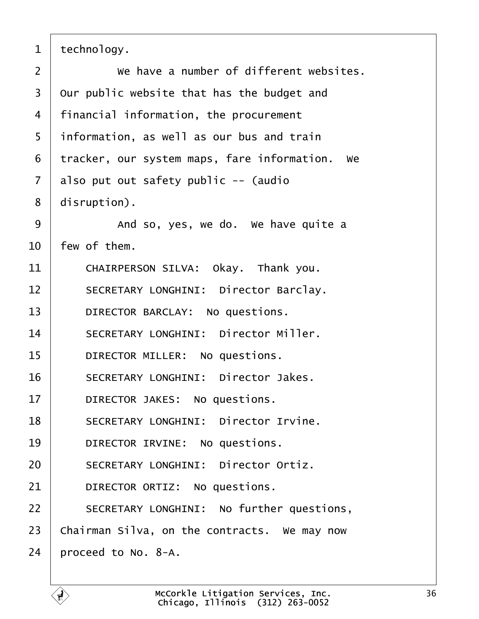<span id="page-35-0"></span> $1$  technology.

| $\overline{2}$ | We have a number of different websites.        |
|----------------|------------------------------------------------|
| $\overline{3}$ | Our public website that has the budget and     |
| 4              | financial information, the procurement         |
| 5              | information, as well as our bus and train      |
| 6              | tracker, our system maps, fare information. We |
| $\overline{7}$ | also put out safety public -- (audio           |
| 8              | disruption).                                   |
| 9              | And so, yes, we do. We have quite a            |
| 10             | few of them.                                   |
| 11             | CHAIRPERSON SILVA: Okay. Thank you.            |
| 12             | SECRETARY LONGHINI: Director Barclay.          |
| 13             | DIRECTOR BARCLAY: No questions.                |
| 14             | SECRETARY LONGHINI: Director Miller.           |
| 15             | DIRECTOR MILLER: No questions.                 |
| 16             | SECRETARY LONGHINI: Director Jakes.            |
| 17             | DIRECTOR JAKES: No questions.                  |
| 18             | SECRETARY LONGHINI: Director Irvine.           |
| 19             | DIRECTOR IRVINE: No questions.                 |
| 20             | SECRETARY LONGHINI: Director Ortiz.            |
| 21             | DIRECTOR ORTIZ: No questions.                  |
| 22             | SECRETARY LONGHINI: No further questions,      |
| 23             | Chairman Silva, on the contracts. We may now   |
| 24             | proceed to No. 8-A.                            |
|                |                                                |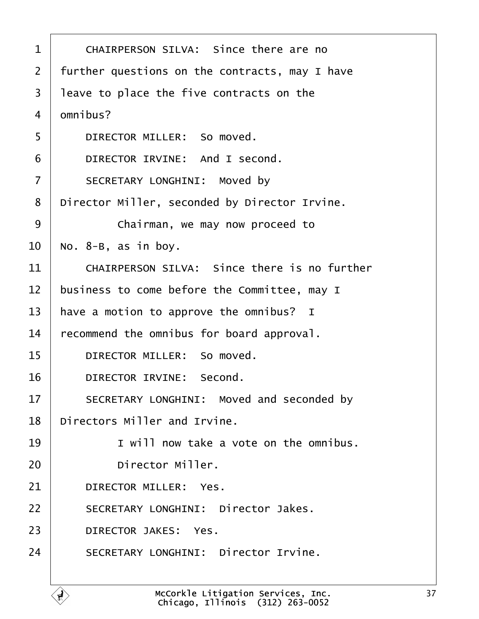<span id="page-36-0"></span>

| $\mathbf 1$    | CHAIRPERSON SILVA: Since there are no          |
|----------------|------------------------------------------------|
| $\overline{2}$ | further questions on the contracts, may I have |
| 3              | leave to place the five contracts on the       |
| 4              | omnibus?                                       |
| 5              | DIRECTOR MILLER: So moved.                     |
| 6              | DIRECTOR IRVINE: And I second.                 |
| $\overline{7}$ | SECRETARY LONGHINI: Moved by                   |
| 8              | Director Miller, seconded by Director Irvine.  |
| 9              | Chairman, we may now proceed to                |
| 10             | No. $8-B$ , as in boy.                         |
| 11             | CHAIRPERSON SILVA: Since there is no further   |
| 12             | business to come before the Committee, may I   |
| 13             | have a motion to approve the omnibus? I        |
| 14             | recommend the omnibus for board approval.      |
| 15             | DIRECTOR MILLER: So moved.                     |
| 16             | DIRECTOR IRVINE: Second.                       |
| 17             | SECRETARY LONGHINI: Moved and seconded by      |
| 18             | Directors Miller and Irvine.                   |
| 19             | I will now take a vote on the omnibus.         |
| 20             | Director Miller.                               |
| 21             | DIRECTOR MILLER: Yes.                          |
| 22             | SECRETARY LONGHINI: Director Jakes.            |
| 23             | DIRECTOR JAKES: Yes.                           |
| 24             | SECRETARY LONGHINI: Director Irvine.           |
|                |                                                |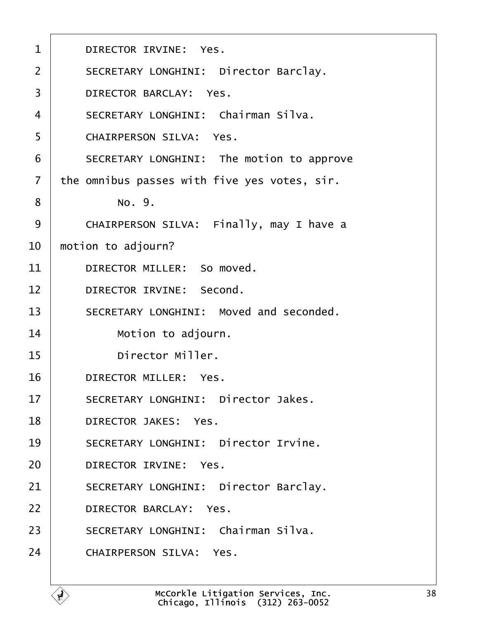<span id="page-37-0"></span>

| $\mathbf{1}$   | DIRECTOR IRVINE: Yes.                        |
|----------------|----------------------------------------------|
| $\overline{2}$ | SECRETARY LONGHINI: Director Barclay.        |
| 3              | DIRECTOR BARCLAY: Yes.                       |
| 4              | SECRETARY LONGHINI: Chairman Silva.          |
| 5              | CHAIRPERSON SILVA: Yes.                      |
| 6              | SECRETARY LONGHINI: The motion to approve    |
| $\overline{7}$ | the omnibus passes with five yes votes, sir. |
| 8              | No. 9.                                       |
| 9              | CHAIRPERSON SILVA: Finally, may I have a     |
| 10             | motion to adjourn?                           |
| 11             | DIRECTOR MILLER: So moved.                   |
| 12             | DIRECTOR IRVINE: Second.                     |
| 13             | SECRETARY LONGHINI: Moved and seconded.      |
| 14             | Motion to adjourn.                           |
| 15             | Director Miller.                             |
| 16             | DIRECTOR MILLER: Yes.                        |
| 17             | SECRETARY LONGHINI: Director Jakes.          |
| 18             | DIRECTOR JAKES: Yes.                         |
| 19             | SECRETARY LONGHINI: Director Irvine.         |
| 20             | DIRECTOR IRVINE: Yes.                        |
| 21             | SECRETARY LONGHINI: Director Barclay.        |
| 22             | DIRECTOR BARCLAY: Yes.                       |
| 23             | SECRETARY LONGHINI: Chairman Silva.          |
| 24             | CHAIRPERSON SILVA: Yes.                      |
|                |                                              |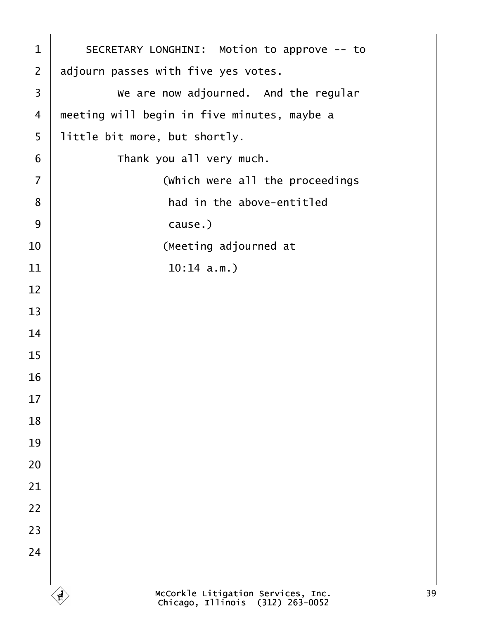<span id="page-38-0"></span>

| $\mathbf 1$    | SECRETARY LONGHINI: Motion to approve -- to                            |
|----------------|------------------------------------------------------------------------|
| $\overline{2}$ | adjourn passes with five yes votes.                                    |
| 3              | We are now adjourned. And the regular                                  |
| 4              | meeting will begin in five minutes, maybe a                            |
| 5              | little bit more, but shortly.                                          |
| 6              | Thank you all very much.                                               |
| $\overline{7}$ | (which were all the proceedings                                        |
| 8              | had in the above-entitled                                              |
| 9              | cause.)                                                                |
| 10             | (Meeting adjourned at                                                  |
| 11             | 10:14 a.m.                                                             |
| 12             |                                                                        |
| 13             |                                                                        |
| 14             |                                                                        |
| 15             |                                                                        |
| 16             |                                                                        |
| 17             |                                                                        |
| 18             |                                                                        |
| 19             |                                                                        |
| 20             |                                                                        |
| 21             |                                                                        |
| 22             |                                                                        |
| 23             |                                                                        |
| 24             |                                                                        |
|                |                                                                        |
|                | McCorkle Litigation Services, Inc.<br>Chicago, Illinois (312) 263-0052 |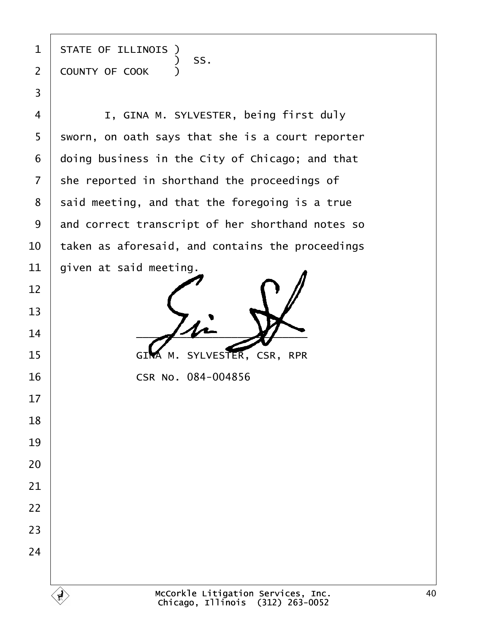state of illinois )  $\begin{array}{|c|c|c|c|c|}\n\hline\n\text{\textend{array}}$   $\begin{array}{c} \text{\textend{array}}$   $\begin{array}{c} \text{\textend{array}}$   $\begin{array}{c} \text{\textend{array}}$   $\begin{array}{c} \text{\textend{array}}$ 2 COUNTY OF COOK )

·3

**I, GINA M. SYLVESTER, being first duly**  sworn, on oath says that she is a court reporter doing business in the City of Chicago; and that she reported in shorthand the proceedings of said meeting, and that the foregoing is a true 9 and correct transcript of her shorthand notes so  $\,$  taken as aforesaid, and contains the proceedings  $\vert$  given at said meeting.

  $-4$ 15 GIMA M. SYLVESTER, CSR, RPR

**CSR No. 084-004856**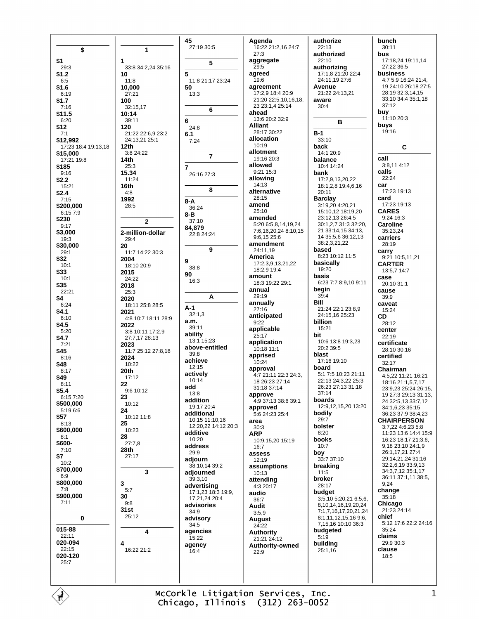| \$<br>\$1                       | 1<br>1                            | 45<br>27:19 30:5<br>5           | Agenda<br>16:22 21:2,16 24:7<br>27:3<br>aggregate | authorize<br>22:13<br>authorized<br>22:10          | bunch<br>30:11<br>bus<br>17:18,24 19:11,14   |
|---------------------------------|-----------------------------------|---------------------------------|---------------------------------------------------|----------------------------------------------------|----------------------------------------------|
| 29:3                            | 33:8 34:2,24 35:16                |                                 | 29:5                                              | authorizing                                        | 27:22 36:5<br>business                       |
| \$1.2<br>6:5                    | 10<br>11:8                        | 5<br>11:8 21:17 23:24           | agreed<br>19:6                                    | 17:1,8 21:20 22:4<br>24:11,19 27:6                 | 4:7 5:9 16:24 21:4,                          |
| \$1.6                           | 10,000                            | 50                              | agreement                                         | Avenue                                             | 19 24:10 26:18 27:5                          |
| 6:19<br>\$1.7                   | 27:21<br>100                      | 13:3                            | 17:2,9 18:4 20:9<br>21:20 22:5,10,16,18,          | 21:22 24:13,21<br>aware                            | 28:19 32:3,14,15<br>33:10 34:4 35:1,18       |
| 7:16                            | 32:15,17                          | 6                               | 23 23:1,4 25:14                                   | 30:4                                               | 37:12                                        |
| \$11.5                          | 10:14                             |                                 | ahead<br>13:6 20:2 32:9                           |                                                    | buy<br>11:10 20:3                            |
| 6:20<br>\$12                    | 39:11<br>120                      | 6<br>24:8                       | <b>Alliant</b>                                    | в                                                  | buys                                         |
| 7:1                             | 21:22 22:6,9 23:2                 | 6.1                             | 28:17 30:22                                       | $B-1$                                              | 19:16                                        |
| \$12,992                        | 24:13,21 25:1                     | 7:24                            | allocation<br>10:19                               | 33:10                                              |                                              |
| 17:23 18:4 19:13,18<br>\$15,000 | 12th<br>3:8 24:22                 |                                 | allotment                                         | back<br>14:1 20:9                                  | C                                            |
| 17:21 19:8                      | 14th                              | $\overline{7}$                  | 19:16 20:3<br>allowed                             | balance                                            | call<br>3:8,11 4:12                          |
| \$185<br>9:16                   | 25:3<br>15.34                     | $\overline{7}$<br>26:16 27:3    | 9:21 15:3                                         | 10:4 14:24<br>bank                                 | calls                                        |
| \$2.2                           | 11:24                             |                                 | allowing                                          | 17:2,9,13,20,22                                    | 22:24                                        |
| 15:21                           | 16th<br>4:8                       | 8                               | 14:13<br>alternative                              | 18:1,2,8 19:4,6,16<br>20:11                        | car<br>17:23 19:13                           |
| \$2.4<br>7:15                   | 1992                              | 8-A                             | 28:15                                             | <b>Barclay</b>                                     | card                                         |
| \$200,000                       | 28:5                              | 36:24                           | amend                                             | 3:19,20 4:20,21                                    | 17:23 19:13                                  |
| 6:157:9<br>\$230                |                                   | 8-B                             | 25:10<br>amended                                  | 15:10,12 18:19,20<br>23:12,13 26:4,5               | <b>CARES</b><br>9:24 16:3                    |
| 9:17                            | 2                                 | 37:10<br>84,879                 | 5:20 6:5,8,14,19,24                               | 30:1,2,7 31:3 32:20,                               | <b>Caroline</b>                              |
| \$3,000                         | 2-million-dollar                  | 22:8 24:24                      | 7:6,16,20,24 8:10,15<br>9:6,15 25:6               | 21 33:14,15 34:13,<br>14 35:5,6 36:12,13           | 35:23,24<br>carriers                         |
| 19:3<br>\$30,000                | 29:4<br>20                        |                                 | amendment                                         | 38:2,3,21,22                                       | 28:19                                        |
| 29:1                            | 11:7 14:22 30:3                   | 9                               | 24:11,19<br>America                               | based<br>8:23 10:12 11:5                           | carry                                        |
| \$32<br>10:1                    | 2004<br>18:10 20:9                | 9                               | 17:2,3,9,13,21,22                                 | basically                                          | 9:21 10:5,11,21<br><b>CARTER</b>             |
| \$33                            | 2015                              | 38:8<br>90                      | 18:2,9 19:4                                       | 19:20                                              | 13:5,7 14:7                                  |
| 10:1                            | 24:22                             | 16:3                            | amount<br>18:3 19:22 29:1                         | basis<br>6:23 7:7 8:9,10 9:11                      | case<br>20:10 31:1                           |
| \$35<br>22:21                   | 2018<br>25:3                      |                                 | annual                                            | begin                                              | cause                                        |
| \$4                             | 2020                              | A                               | 29:19<br>annually                                 | 39:4<br>Bill                                       | 39:9                                         |
| 6:24<br>\$4.1                   | 18:11 25:8 28:5<br>2021           | $A-1$                           | 27:16                                             | 21:24 22:1 23:8,9                                  | caveat<br>15:24                              |
| 6:10                            | 4:8 10:7 18:11 28:9               | 32:1,3<br>a.m.                  | anticipated                                       | 24:15,16 25:23                                     | CD                                           |
| \$4.5                           | 2022                              | 39:11                           | 9:22<br>applicable                                | billion<br>15:21                                   | 28:12<br>center                              |
| 5:20<br>\$4.7                   | 3:8 10:11 17:2,9<br>27:7,17 28:13 | ability                         | 25:17                                             | bit                                                | 22:19                                        |
| 7:21                            | 2023                              | 13:1 15:23<br>above-entitled    | application<br>10:18 11:1                         | 10:6 13:8 19:3.23<br>20:2 39:5                     | certificate                                  |
| \$45<br>8:16                    | 11:7 25:12 27:8,18<br>2024        | 39:8                            | apprised                                          | blast                                              | 28:10 30:16<br>certified                     |
| \$48                            | 10:22                             | achieve<br>12:15                | 10:24                                             | 17:16 19:10<br>board                               | 32:17                                        |
| 8:17<br>\$49                    | 20th                              | actively                        | approval<br>4:7 21:11 22:3 24:3,                  | 5:1 7:5 10:23 21:11                                | Chairman<br>4:5,22 11:21 16:21               |
| 8:11                            | 17:12<br>22                       | 10:14                           | 18 26:23 27:14                                    | 22:13 24:3,22 25:3                                 | 18:16 21:1,5,7,17                            |
| \$5.4                           | 9:6 10:12                         | add<br>13:8                     | 31:18 37:14<br>approve                            | 26:23 27:13 31:18<br>37:14                         | 23:9,23 25:24 26:15,<br>19 27:3 29:13 31:13, |
| 6:15 7:20<br>\$500,000          | 23<br>10:12                       | addition                        | 4:9 37:13 38:6 39:1                               | boards                                             | 24 32:5,13 33:7,12                           |
| 5:19 6:6                        | 24                                | 19:17 20:4<br>additional        | approved<br>5:6 24:23 25:4                        | 12:9,12,15,20 13:20<br>bodily                      | 34:1,6,23 35:15<br>36:23 37:9 38:4,23        |
| \$57<br>8:13                    | 10:12 11:8<br>25                  | 10:15 11:10,16                  | area                                              | 29:7                                               | <b>CHAIRPERSON</b>                           |
| \$600,000                       | 10:23                             | 12:20,22 14:12 20:3<br>additive | 30:3<br><b>ARP</b>                                | bolster<br>8:20                                    | 3:7,22 4:6,23 5:8<br>11:23 13:6 14:4 15:9    |
| 8:1                             | 28                                | 10:20                           | 10:9,15,20 15:19                                  | books                                              | 16:23 18:17 21:3,6,                          |
| \$600-<br>7:10                  | 27:7,8<br>28th                    | address                         | 16:7                                              | 10:7                                               | 9,18 23:10 24:1,9                            |
| \$7                             | 27:17                             | 29:9<br>adjourn                 | assess<br>12:19                                   | boy<br>33:7 37:10                                  | 26:1,17,21 27:4<br>29:14,21,24 31:16         |
| 10:2<br>\$700,000               |                                   | 38:10,14 39:2                   | assumptions                                       | breaking                                           | 32:2,6,19 33:9,13                            |
| 6:9                             | 3                                 | adjourned<br>39:3,10            | 10:13<br>attending                                | 11:5<br>broker                                     | 34:3,7,12 35:1,17<br>36:11 37:1,11 38:5,     |
| \$800,000                       | 3                                 | advertising                     | 4:3 20:17                                         | 28:17                                              | 9,24                                         |
| 7:8<br>\$900,000                | 5:7<br>30                         | 17:1,23 18:3 19:9,              | audio                                             | budget                                             | change<br>35:18                              |
| 7:11                            | 9:8                               | 17,21,24 20:4<br>advisories     | 36:7<br>Audit                                     | 3:5,10 5:20,21 6:5,6,<br>8, 10, 14, 16, 19, 20, 24 | Chicago                                      |
|                                 | 31st<br>25:12                     | 34:9                            | 3:5,9                                             | 7:1,7,16,17,20,21,24                               | 21:23 24:14                                  |
| 0                               |                                   | advisory<br>34:5                | August<br>24:22                                   | 8:1,11,12,15,16 9:6,<br>7,15,16 10:10 36:3         | chief<br>5:12 17:6 22:2 24:16                |
| 015-88                          | 4                                 | agencies                        | Authority                                         | budgeted                                           | 35:24                                        |
| 22:11<br>020-094                | 4                                 | 15:22                           | 21:21 24:12                                       | 5:19<br>building                                   | claims<br>29:9 30:3                          |
| 22:15                           | 16:22 21:2                        | agency<br>16:4                  | <b>Authority-owned</b><br>22:9                    | 25:1,16                                            | clause                                       |
| 020-120<br>25:7                 |                                   |                                 |                                                   |                                                    | 18:5                                         |
|                                 |                                   |                                 |                                                   |                                                    |                                              |
|                                 |                                   |                                 |                                                   |                                                    |                                              |

McCorkle Litigation Services, Inc.<br>Chicago, Illinois (312) 263-0052

 $\left\langle \begin{matrix} 1 \\ 1 \end{matrix} \right\rangle$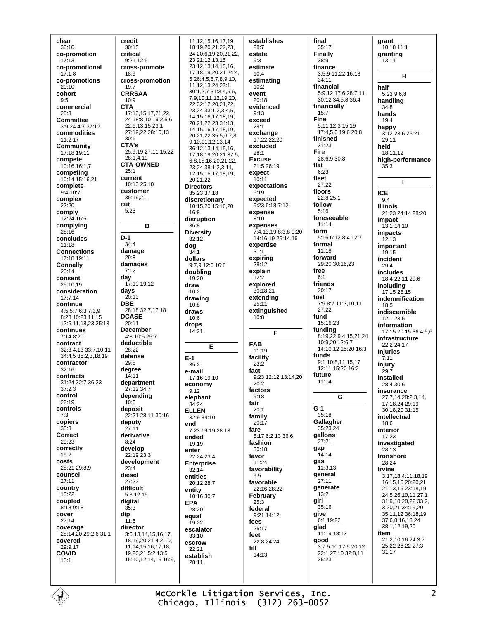clear  $30:10$ co-promotion  $17.13$ co-promotional  $17:1.8$ co-promotions  $20:10$ cohort  $9.5$ commercial 28:3 Committee 3:9,24 4:7 37:12 commodities 11:2,17 Community 17:18 19:11 compete 10:16 16:1.7 competing 10:14 15:16,21 complete  $9:4.10:7$ complex  $22.20$ comply 12:24 16:5 complying  $28.16$ concludes  $11:18$ **Connections** 17:18 19:11 **Connelly**  $20.14$ consent 25:10.19 consideration  $17:7.14$ continue 4:5 5:7 6:3 7:3,9 8:23 10:23 11:15 12:5,11,18,23 25:13 continues 7:14 8:20 contract 32:3,4,13 33:7,10,11 34:4.5 35:2.3.18.19 contractor  $32:16$ contracts  $31.24$   $32.7$   $36.23$  $37.23$ control  $22:19$ controls  $7:3$ copiers  $35.3$ Correct  $29.23$ correctly  $19.2$ costs 28:21 29:8,9 counsel  $27:11$ country 15:22 coupled 8:189:18 cover  $27:14$ coverage 28:14,20 29:2,6 31:1 covered 29:9,17 **COVID**  $13.1$ 

credit  $30:15$ critical  $9.2112.5$ cross-promote  $18.9$ cross-promotion 19:7 **CRRSAA**  $10.9$ **CTA** 17:13,15,17,21,22, 24 18:8,10 19:2,5,6 22:6.13.15 23:1 27:19,22 28:10,13  $30:6$ CTA's 25:9,19 27:11,15,22 28:1.4.19 **CTA-OWNED**  $25.1$ current  $10:13.25:10$ customer 35:19.21 cut  $5.23$ D  $D-1$  $34.4$ damage 29:8 damages  $7:12$ **day**<br>17:19 19:12 days  $20:13$ **DBE** 28:18 32:7,17,18 **DCASE**  $20.11$ **December** 4:8 10:5 25:7 deductible  $28.22$ defense  $29.8$ degree 14:11 department 27:12 34:7 depending  $10.6$ deposit 22:21 28:11 30:16 deputy  $27:11$ derivative  $8:24$ develop 22:19 23:3 development  $23:4$ diesel  $27:22$ difficult  $5:312:15$ digital  $35:3$ dip  $11.6$ director 3:6, 13, 14, 15, 16, 17, 18, 19, 20, 21 4: 2, 10, 11, 14, 15, 16, 17, 18, 19,20,21 5:2 13:5 15:10,12,14,15 16:9,

11.12.15.16.17.19 18:19,20,21,22,23, 24 20:6.19.20.21.22. 23 21:12,13,15 23:12,13,14,15,16, 17, 18, 19, 20, 21, 24: 4, 5 26:4,5,6,7,8,9,10, 11 12 13 24 27 1 30:1,2,7 31:3,4,5,6, 791011121920 22 32 12 20 21 22 23 24 33 1 2 3 4 5 14, 15, 16, 17, 18, 19, 20 21 22 23 34:13 14, 15, 16, 17, 18, 19, 20,21,22 35:5,6,7,8, 9, 10, 11, 12, 13, 14 36:12,13,14,15,16, 17, 18, 19, 20, 21, 37: 5, 6,8,15,16,20,21,22, 23,24 38:1,2,3,11, 12, 15, 16, 17, 18, 19,  $20,21,22$ **Directors** 35:23 37:18 discretionary 10:15,20 15:16,20 16:8 disruption  $36:8$ **Diversity**  $32.12$  $34.1$ dollars 9:7,9 12:6 16:8 doubling 19:20 draw  $10.2$ drawing  $10.8$ draws 10:6 drops  $14.21$ E  $35.2$ e-mail 17:16 19:10 economy  $9.12$ elephant 34:24 **ELLEN** 32:9 34:10 7.23 19:19 28:13 ended 19:19 enter  $22.2423.4$ Enterprise  $32.14$ entities 20:12 28:7 entity  $10.1630.7$  $28:20$ equal  $19.22$ escalator  $33:10$ escrow  $22.21$ establish  $28.11$ 

dog

 $E-1$ 

end

**EPA** 

establishes  $28:7$ estate  $9.3$ estimate  $10.4$ estimating  $10:2$ event  $20.18$ evidenced  $9:13$ exceed  $29:1$ exchange 17:22 22:20 excluded  $28:1$ **Excuse** 21:5 26:19 expect  $10:11$ expectations  $5:19$ expected  $5.23618712$ expense  $8:10$ expenses 7:4.13.19 8:3.8 9:20 14:16.19 25:14.16 expertise  $31:1$ expiring 28:12 explain  $12.2$ explored 30:18,21 extending  $25:11$ extinguished  $10:8$ F **FAB** 11:19 facility  $23.2$ fact 9:23 12:12 13:14,20  $20:2$ factors  $9:18$ fair  $20:1$ family  $20:17$ fare  $-5:176:2,1336:6$ fashion  $30.18$ favor  $11:24$ favorability  $9.5$ favorable 22:16 28:22 February  $25.3$ federal  $0.2111112$ fees  $25.17$ feet  $22.824.24$ fill 14:13

final  $35:17$ **Finally**  $38.9$ finance 3:5,9 11:22 16:18  $34.11$ financial 5:9,12 17:6 28:7,11 30:12 34:5,8 36:4 financially 15:7 Fine 5:11 12:3 15:19 17:4.5.6 19:6 20:8 finished  $31.23$ Fire 28:6.9.30:8 flat  $6.23$ fleet  $27.22$ floors 22:8 25:1 follow  $5.16$ foreseeable  $11:14$ form 5:16 6:12 8:4 12:7 formal  $11.18$ forward 29:20 30:16,23 free  $6:1$ friends  $20:17$ fuel 7:9 8:7 11:3.10.11 27:22 fund  $15:16.23$ funding 8:19,22 9:4,15,21,24 10:9,20 12:6,7 14:10,12 15:20 16:3 funds 9:1 10:8 11 15 17 12:11 15:20 16:2 future  $11.14$ G  $G-1$  $35:18$ Gallagher  $35.23.24$ gallons  $27:21$ gap  $14:14$ gas 11:3.13 general  $27:11$ qenerate  $13.2$ girl 35:16 give 6.1 19.22 glad 11:19 18:13 good 3:7 5:10 17:5 20:12 22:1 27:10 32:8,11  $35:23$ 

grant 10:18 11:1 granting  $13:11$ H half  $5.23968$ handling  $34:8$ hands  $19.4$ happy 3:12 23:6 25:21  $29.11$ held 18:11.12 high-performance  $35.3$  $\mathbf{I}$ **ICE**  $9:4$ **Illinois** 21:23 24:14 28:20 impact 13:1 14:10 impacts  $12:13$ important  $19.15$ incident  $29:4$ includes 18:4 22:11 29:6 including 17:15 25:15 indemnification 18:5 indiscernible 12:1 23:5 information 17:15 20:15 36:4,5,6 infrastructure 22:2 24:17 **Injuries**  $7.11$ injury  $29:7$ installed 28:4 30:6 insurance 27:7,14 28:2,3,14. 17.18.24 29:19  $30.182031.15$ intellectual  $18:6$ interior  $17.23$ investigated 28:13 **Ironshore**  $28.24$ Irvine  $3.17184.111819$ 16:15,16 20:20,21 21:13,15 23:18,19 24:5 26:10,11 27:1 31:9,10,20,22 33:2, 3,20,21 34:19,20 35:11,12 36:18,19 37:6,8,16,18,24 38:1,12,19,20 item 21:2 10 16 24:3 7 25:22 26:22 27:3  $31.17$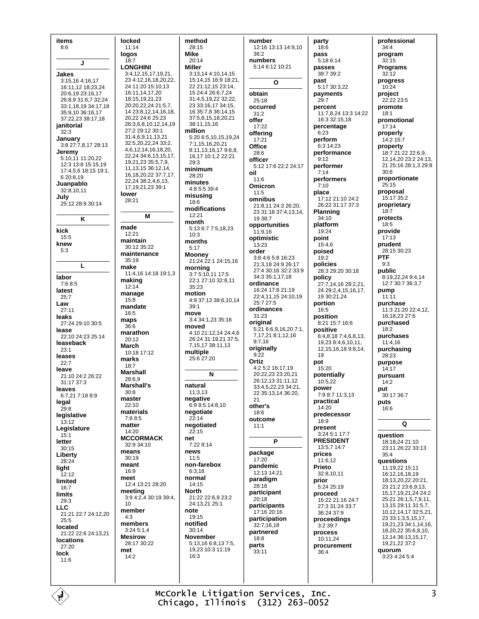| items                | locked                    | method               |                       |    |
|----------------------|---------------------------|----------------------|-----------------------|----|
|                      |                           |                      | number                | pa |
| 8:6                  | 11:14                     | 28:15                | 12:16 13:13 14:9,10   |    |
|                      | logos                     | Mike                 | 36:2                  | pa |
|                      | 18:7                      | 20:14                | numbers               |    |
| J                    | <b>LONGHINI</b>           | Miller               | 5:14 6:12 10:21       |    |
|                      |                           |                      |                       | p  |
| Jakes                | 3:4,12,15,17,19,21,       | 3:13,14 4:10,14,15   |                       |    |
| 3:15,16 4:16,17      | 23 4:12,16,18,20,22,      | 15:14,15 16:9 18:21, | O                     | p  |
| 16:11,12 18:23,24    | 24 11:20 15:10,13         | 22 21:12.15 23:14.   |                       |    |
|                      | 16:11,14,17,20            | 15 24:4 26:6,7,24    |                       |    |
| 20:6,19 23:16,17     |                           |                      | obtain                | p  |
| 26:8,9 31:6,7 32:24  | 18:15,19,21,23            | 31:4,5,19,22 32:22,  | 25:18                 |    |
| 33:1,18,19 34:17,18  | 20:20, 22, 24 21:5, 7,    | 23 33:16,17 34:15,   | occurred              | p. |
| 35:9,10 36:16,17     | 14 23:8,12,14,16,18,      | 16 35:7,8 36:14,15   | 31:2                  |    |
| 37:22,23 38:17,18    | 20,22 24:6 25:23          | 37:5,8,15,18,20,21   |                       |    |
|                      | 26:3,6,8,10,12,14,19      | 38:11,15,16          | offer                 |    |
| janitorial           |                           |                      | 17:22                 | p. |
| 32:3                 | 27:2 29:12 30:1           | million              | offering              |    |
| January              | 31:4,6,9,11,13,21         | 5:20 6:5,10,15,19,24 | 17:21                 | p. |
| 3:8 27:7,8,17 28:13  | 32:5,20,22,24 33:2,       | 7:1,15,16,20,21      |                       |    |
|                      | 4, 6, 12, 14, 16, 18, 20, | 8:11,13,16,17 9:6,8, | Office                |    |
| Jeremy               |                           |                      | 28:6                  | p. |
| 5:10,11 11:20,22     | 22,24 34:6,13,15,17,      | 16,17 10:1,2 22:21   | officer               |    |
| 12:3 13:8 15:15,19   | 19,21,23 35:5,7,9,        | 29:3                 |                       |    |
| 17:4,5,6 18:15 19:1, | 11, 13, 15 36: 12, 14,    | minimum              | 5:12 17:6 22:2 24:17  | p. |
|                      | 16, 18, 20, 22 37: 7, 17, | 28:20                | oil                   |    |
| 6 20:8,19            | 22,24 38:2,4,6,13,        |                      | 11:6                  | p. |
| Juanpablo            |                           | minutes              | Omicron               |    |
| 32:8,10,11           | 17, 19, 21, 23 39: 1      | 4:8 5:5 39:4         |                       |    |
|                      | lower                     | misusing             | 11:5                  | pl |
| July                 | 28:21                     |                      | omnibus               |    |
| 25:12 28:9 30:14     |                           | 18:6                 | 21:8,11 24:3 26:20,   |    |
|                      |                           | modifications        | 23 31:18 37:4,13,14,  | PI |
|                      | М                         | 12:21                |                       |    |
| Κ                    |                           | month                | 19 38:7               |    |
|                      | made                      | 5:13 6:7 7:5,18,23   | opportunities         | pl |
| kick                 |                           |                      | 11:9,16               |    |
| 15:5                 | 12:21                     | 10:3                 | optimistic            | p  |
|                      | maintain                  | months               |                       |    |
| knew                 | 30:12 35:22               | 5:17                 | 13:23                 |    |
| 5:3                  | maintenance               |                      | order                 | p  |
|                      |                           | <b>Mooney</b>        | 3:8 4:6 5:8 16:23     |    |
|                      | 35:19                     | 21:24 22:1 24:15,16  | 21:3,18 24:9 26:17    | p  |
| L                    | make                      | morning              |                       |    |
|                      | 11:4,16 14:18 19:1,3      | 3:7 5:10,11 17:5     | 27:4 30:16 32:2 33:9  |    |
| labor                | making                    |                      | 34:3 35:1,17,18       | p  |
| 7:68:5               |                           | 22:1 27:10 32:8,11   | ordinance             |    |
| latest               | 12:14                     | 35:23                | 16:24 17:8 21:19      |    |
|                      | manage                    | motion               | 22:4,11,15 24:10,19   |    |
| 25:7                 | 15:8                      | 4:9 37:13 38:6,10,14 |                       |    |
| Law                  | mandate                   | 39:1                 | 25:7 27:5             | p  |
| 27:11                |                           |                      | ordinances            |    |
| leaks                | 16:5                      | move                 | 31:23                 | p  |
|                      | maps                      | 3:4 34:1,23 35:16    |                       |    |
| 27:24 29:10 30:5     | 36:6                      | moved                | original              |    |
| lease                |                           |                      | 5:21 6:6,9,16,20 7:1, | p  |
| 22:10 24:23 25:14    | marathon                  | 4:10 21:12,14 24:4,6 | 7,17,21 8:1,12,16     |    |
| leaseback            | 20:12                     | 26:24 31:19,21 37:5, | 9:7,16                |    |
|                      | March                     | 7, 15, 17 38: 11, 13 | originally            |    |
| 23:1                 | 10:18 17:12               | multiple             |                       |    |
| leases               | marks                     | 25:6 27:20           | 9:22                  |    |
| 22:7                 |                           |                      | Ortiz                 | p  |
| leave                | 18:7                      |                      | 4:2 5:2 16:17,19      |    |
|                      | Marshall                  | N                    | 20:22,23 23:20,21     | p  |
| 21:10 24:2 26:22     | 28:6,9                    |                      |                       |    |
| 31:17 37:3           | Marshall's                | natural              | 26:12,13 31:11,12     |    |
| leaves               |                           |                      | 33:4,5,22,23 34:21,   | p  |
| 6:7,21 7:18 8:9      | 30:8                      | 11:3,13              | 22 35:13,14 36:20,    |    |
|                      | master                    | negative             | 21                    |    |
| legal                | 22:10                     | 6:9 8:5 14:8,10      | other's               | pr |
| 29:8                 | materials                 | negotiate            |                       |    |
| legislative          |                           |                      | 18:6                  | pr |
| 13:12                | 7:8 8:5                   | 22:14                | outcome               |    |
|                      | matter                    | negotiated           | 11:1                  | pr |
| Legislature          | 14:20                     | 22:15                |                       |    |
| 15:1                 | <b>MCCORMACK</b>          | net                  |                       |    |
| letter               |                           |                      | P                     | PI |
| 30:15                | 32:9 34:10                | 7:22 8:14            |                       |    |
| Liberty              | means                     | news                 | package               | pr |
|                      | 30:19                     | 11:5                 | 17:20                 |    |
| 28:24                | meant                     | non-farebox          | pandemic              |    |
| light                | 16:9                      | 6:3.18               |                       | Pı |
| 12:12                |                           |                      | 12:13 14:21           |    |
| limited              | meet                      | normal               | paradigm              | pr |
|                      | 12:4 13:21 28:20          | 14:15                | 28:18                 |    |
| 16:7                 | meeting                   | <b>North</b>         | participant           |    |
| limits               | 3:9 4:2,4 30:19 39:4,     | 21:22 22:6,9 23:2    |                       | pr |
| 29:3                 |                           |                      | 20:18                 |    |
| LLC                  | 10                        | 24:13,21 25:1        | participants          |    |
|                      | member                    | note                 | 17:16 20:16           |    |
| 21:21 22:7 24:12,20  | 4:3                       | 19:15                | participation         |    |
| 25:5                 | members                   | notified             |                       | pr |
| located              |                           |                      | 32:7,16,18            |    |
| 21:22 22:6 24:13,21  | 3:24 5:1,4                | 30:14                | partnered             | pr |
|                      | <b>Mesirow</b>            | <b>November</b>      | 18:8                  |    |
| <b>locations</b>     | 28:17 30:22               | 5:13,16 6:8,13 7:5,  | parts                 |    |
| 27:20                |                           | 19,23 10:3 11:19     | 33:11                 | pr |
|                      |                           |                      |                       |    |
| lock                 | met                       |                      |                       |    |
| 11:6                 | 14:2                      | 16:3                 |                       |    |
|                      |                           |                      |                       |    |
|                      |                           |                      |                       |    |
|                      |                           |                      |                       |    |

arty  $18.6$ ass 5:18 6:14 asses 38:7 39:2 ast 5:17 30:3,22 ayments  $29:7$ ercent 11:7,8,24 13:3 14:22 16:3 32:15,18 ercentage  $6:23$ erform 6:3 14:23 erformance  $9:12$ erformer  $7:14$ erformers  $7:10$ lace  $17:12$  21:10 24:2  $26:22$  31:17 37:3 lanning 34:10 latform 19:24 oint 15:4,6 oised 19:2 olicies -------<br>28:3 29:20 30:18 olicy<br>27:7,14,16 28:2,21, 24 29:2,4,15,16,17,<br>19 30:21,24 ortion 16:5 osition 8:21 15:7 16:6 ositive 6:4,8,18 7:4,6,8,13,  $19,238:4,6,10,11,$ <br> $12,15,16,189:8,14,$  $19$ ot 15:20 otentially 10:5,22 ower  $7:98:711:3,13$ ractical 14:20 redecessor 18:9 resent **RESIDENT** 13:5,7 14:7 rices  $11:6,12$ **rieto**<br>32:8,10,11 rior 5:24 25:19 roceed 16:22 21:16 24:7  $27:331:2433:7$ 36:24 37:9 roceedings 3:2 39:7 rocess 10:11,24 rocurement  $36:4$ 

| professional                                   |
|------------------------------------------------|
| 34:4<br>program                                |
| 32:15<br>Programs                              |
| 32:12<br>progress                              |
| 10:24<br>project                               |
| 22:22 23:5                                     |
| promote<br>18:1                                |
| promotional<br>17:14                           |
| properly<br>14:2 15:7                          |
| property<br>18:7 21:22 22:6,9,                 |
| 12,14,20 23:2 24:13,                           |
| 21 25:16 28:1,3 29:8<br>30:6                   |
| proportionate<br>25:15                         |
| proposal<br>15:17 35:2                         |
| proprietary<br>18:7                            |
| protects                                       |
| 18:5<br>provide                                |
| 17:13<br>prudent                               |
| 28:15 30:23<br>PTF                             |
| 9:3<br>public                                  |
| 8:19,22,24 9:4,14                              |
| 12:7 30:7 36:3,7<br>pump                       |
| 11:11<br>purchase                              |
| 11:3 21:20 22:4,12,<br>16,18,23 27:6           |
| purchased<br>18:2                              |
| purchases                                      |
| 11:4,16<br>purchasing                          |
| 28:23<br>purpose                               |
| 14:17<br>pursuant                              |
| 14:2                                           |
| put<br>30:17 36:7                              |
| puts<br>16:6                                   |
| Q                                              |
| question                                       |
| 18:18,24 21:10<br>23:11 26:22 33:13            |
| 35:4                                           |
| questions<br>11:19,22 15:11                    |
| 16:12,16,18,19<br>18:13,20,22 20:21,           |
| 23 21:2 23:6,9,13,<br>15, 17, 19, 21, 24 24: 2 |
| 25:21 26:1,5,7,9,11,<br>13, 15 29: 11 31: 5, 7 |
| 10,12,14,17 32:5,21,<br>23 33:1,3,5,15,17,     |
| 19,21,23 34:1,14,16,                           |
| 18,20,22 35:6,8,10,<br>12,14 36:13,15,17,      |
| 19,21,22 37:2<br>quorum                        |
| 3:23 4:24 5:4                                  |
|                                                |

McCorkle Litigation Services, Inc.<br>Chicago, Illinois (312) 263-0052